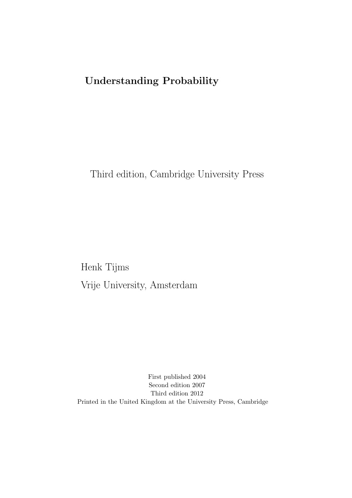## Understanding Probability

Third edition, Cambridge University Press

Henk Tijms Vrije University, Amsterdam

First published 2004 Second edition 2007 Third edition 2012 Printed in the United Kingdom at the University Press, Cambridge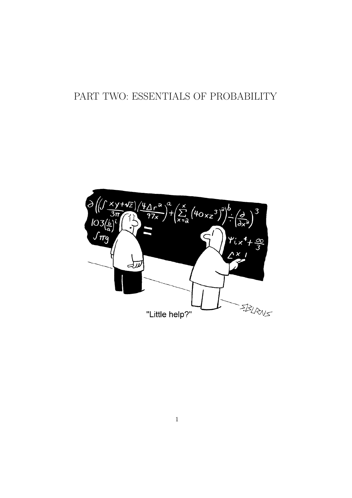# PART TWO: ESSENTIALS OF PROBABILITY

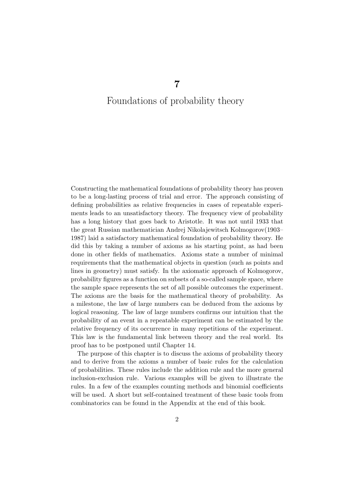### Foundations of probability theory

Constructing the mathematical foundations of probability theory has proven to be a long-lasting process of trial and error. The approach consisting of defining probabilities as relative frequencies in cases of repeatable experiments leads to an unsatisfactory theory. The frequency view of probability has a long history that goes back to Aristotle. It was not until 1933 that the great Russian mathematician Andrej Nikolajewitsch Kolmogorov(1903– 1987) laid a satisfactory mathematical foundation of probability theory. He did this by taking a number of axioms as his starting point, as had been done in other fields of mathematics. Axioms state a number of minimal requirements that the mathematical objects in question (such as points and lines in geometry) must satisfy. In the axiomatic approach of Kolmogorov, probability figures as a function on subsets of a so-called sample space, where the sample space represents the set of all possible outcomes the experiment. The axioms are the basis for the mathematical theory of probability. As a milestone, the law of large numbers can be deduced from the axioms by logical reasoning. The law of large numbers confirms our intuition that the probability of an event in a repeatable experiment can be estimated by the relative frequency of its occurrence in many repetitions of the experiment. This law is the fundamental link between theory and the real world. Its proof has to be postponed until Chapter 14.

The purpose of this chapter is to discuss the axioms of probability theory and to derive from the axioms a number of basic rules for the calculation of probabilities. These rules include the addition rule and the more general inclusion-exclusion rule. Various examples will be given to illustrate the rules. In a few of the examples counting methods and binomial coefficients will be used. A short but self-contained treatment of these basic tools from combinatorics can be found in the Appendix at the end of this book.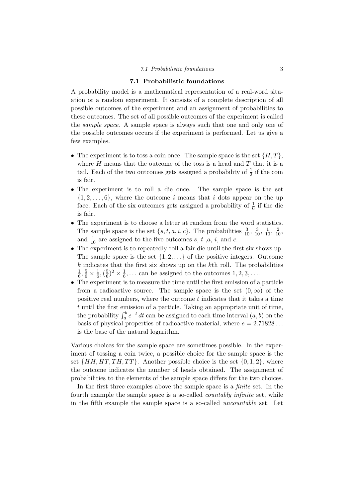### 7.1 Probabilistic foundations

A probability model is a mathematical representation of a real-word situation or a random experiment. It consists of a complete description of all possible outcomes of the experiment and an assignment of probabilities to these outcomes. The set of all possible outcomes of the experiment is called the sample space. A sample space is always such that one and only one of the possible outcomes occurs if the experiment is performed. Let us give a few examples.

- The experiment is to toss a coin once. The sample space is the set  $\{H, T\}$ , where  $H$  means that the outcome of the toss is a head and  $T$  that it is a tail. Each of the two outcomes gets assigned a probability of  $\frac{1}{2}$  if the coin is fair.
- The experiment is to roll a die once. The sample space is the set  $\{1, 2, \ldots, 6\}$ , where the outcome i means that i dots appear on the up face. Each of the six outcomes gets assigned a probability of  $\frac{1}{6}$  if the die is fair.
- The experiment is to choose a letter at random from the word statistics. The sample space is the set  $\{s, t, a, i, c\}$ . The probabilities  $\frac{3}{10}, \frac{3}{10}, \frac{1}{10}, \frac{2}{10}$ , and  $\frac{1}{10}$  are assigned to the five outcomes s, t,a, i, and c.
- The experiment is to repeatedly roll a fair die until the first six shows up. The sample space is the set  $\{1, 2, ...\}$  of the positive integers. Outcome  $k$  indicates that the first six shows up on the  $k$ th roll. The probabilities 1  $\frac{1}{6}, \frac{5}{6} \times \frac{1}{6}$  $\frac{1}{6}, (\frac{5}{6})$  $(\frac{5}{6})^2 \times \frac{1}{6}$  $\frac{1}{6}$ ,... can be assigned to the outcomes  $1, 2, 3, \ldots$
- The experiment is to measure the time until the first emission of a particle from a radioactive source. The sample space is the set  $(0, \infty)$  of the positive real numbers, where the outcome  $t$  indicates that it takes a time  $t$  until the first emission of a particle. Taking an appropriate unit of time, t until the inst emission of a particle. Taking an appropriate unit of time,<br>the probability  $\int_a^b e^{-t} dt$  can be assigned to each time interval  $(a, b)$  on the basis of physical properties of radioactive material, where  $e = 2.71828...$ is the base of the natural logarithm.

Various choices for the sample space are sometimes possible. In the experiment of tossing a coin twice, a possible choice for the sample space is the set  $\{HH, HT, TH, TT\}$ . Another possible choice is the set  $\{0, 1, 2\}$ , where the outcome indicates the number of heads obtained. The assignment of probabilities to the elements of the sample space differs for the two choices.

In the first three examples above the sample space is a *finite* set. In the fourth example the sample space is a so-called countably infinite set, while in the fifth example the sample space is a so-called uncountable set. Let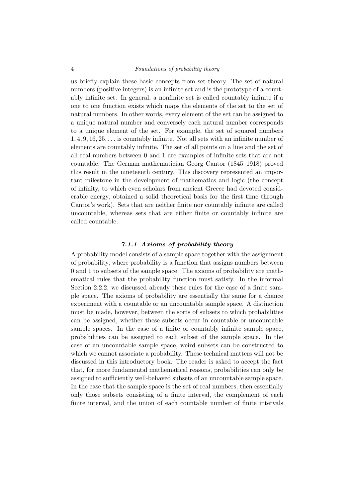### 4 Foundations of probability theory

us briefly explain these basic concepts from set theory. The set of natural numbers (positive integers) is an infinite set and is the prototype of a countably infinite set. In general, a nonfinite set is called countably infinite if a one to one function exists which maps the elements of the set to the set of natural numbers. In other words, every element of the set can be assigned to a unique natural number and conversely each natural number corresponds to a unique element of the set. For example, the set of squared numbers 1, 4, 9, 16, 25, . . . is countably infinite. Not all sets with an infinite number of elements are countably infinite. The set of all points on a line and the set of all real numbers between 0 and 1 are examples of infinite sets that are not countable. The German mathematician Georg Cantor (1845–1918) proved this result in the nineteenth century. This discovery represented an important milestone in the development of mathematics and logic (the concept of infinity, to which even scholars from ancient Greece had devoted considerable energy, obtained a solid theoretical basis for the first time through Cantor's work). Sets that are neither finite nor countably infinite are called uncountable, whereas sets that are either finite or countably infinite are called countable.

### 7.1.1 Axioms of probability theory

A probability model consists of a sample space together with the assignment of probability, where probability is a function that assigns numbers between 0 and 1 to subsets of the sample space. The axioms of probability are mathematical rules that the probability function must satisfy. In the informal Section 2.2.2, we discussed already these rules for the case of a finite sample space. The axioms of probability are essentially the same for a chance experiment with a countable or an uncountable sample space. A distinction must be made, however, between the sorts of subsets to which probabilities can be assigned, whether these subsets occur in countable or uncountable sample spaces. In the case of a finite or countably infinite sample space, probabilities can be assigned to each subset of the sample space. In the case of an uncountable sample space, weird subsets can be constructed to which we cannot associate a probability. These technical matters will not be discussed in this introductory book. The reader is asked to accept the fact that, for more fundamental mathematical reasons, probabilities can only be assigned to sufficiently well-behaved subsets of an uncountable sample space. In the case that the sample space is the set of real numbers, then essentially only those subsets consisting of a finite interval, the complement of each finite interval, and the union of each countable number of finite intervals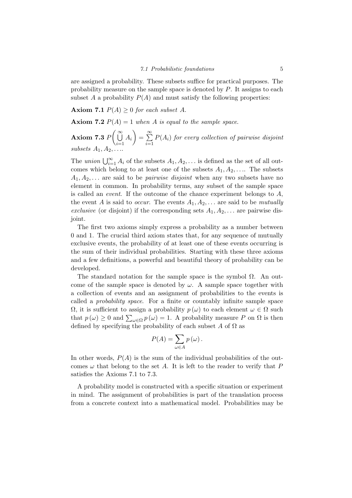are assigned a probability. These subsets suffice for practical purposes. The probability measure on the sample space is denoted by  $P$ . It assigns to each subset A a probability  $P(A)$  and must satisfy the following properties:

Axiom 7.1  $P(A) \geq 0$  for each subset A.

### **Axiom 7.2**  $P(A) = 1$  when A is equal to the sample space.

Axiom  $7.3$   $P$  $\frac{1}{\sqrt{2}}$  $i=1$  $A_i$  $\mathbf{r}$ =  $\approx$  $i=1$  $P(A_i)$  for every collection of pairwise disjoint subsets  $A_1, A_2, \ldots$ 

The union  $\bigcup_{i=1}^{\infty} A_i$  of the subsets  $A_1, A_2, \ldots$  is defined as the set of all outcomes which belong to at least one of the subsets  $A_1, A_2, \ldots$  The subsets  $A_1, A_2, \ldots$  are said to be *pairwise disjoint* when any two subsets have no element in common. In probability terms, any subset of the sample space is called an *event*. If the outcome of the chance experiment belongs to  $A$ , the event A is said to *occur*. The events  $A_1, A_2, \ldots$  are said to be *mutually* exclusive (or disjoint) if the corresponding sets  $A_1, A_2, \ldots$  are pairwise disjoint.

The first two axioms simply express a probability as a number between 0 and 1. The crucial third axiom states that, for any sequence of mutually exclusive events, the probability of at least one of these events occurring is the sum of their individual probabilities. Starting with these three axioms and a few definitions, a powerful and beautiful theory of probability can be developed.

The standard notation for the sample space is the symbol  $\Omega$ . An outcome of the sample space is denoted by  $\omega$ . A sample space together with a collection of events and an assignment of probabilities to the events is called a *probability space*. For a finite or countably infinite sample space  $\Omega$ , it is sufficient to assign a probability  $p(\omega)$  to each element  $\omega \in \Omega$  such that  $p(\omega) \geq 0$  and  $\sum_{\omega \in \Omega} p(\omega) = 1$ . A probability measure P on  $\Omega$  is then defined by specifying the probability of each subset A of  $\Omega$  as

$$
P(A) = \sum_{\omega \in A} p(\omega).
$$

In other words,  $P(A)$  is the sum of the individual probabilities of the outcomes  $\omega$  that belong to the set A. It is left to the reader to verify that P satisfies the Axioms 7.1 to 7.3.

A probability model is constructed with a specific situation or experiment in mind. The assignment of probabilities is part of the translation process from a concrete context into a mathematical model. Probabilities may be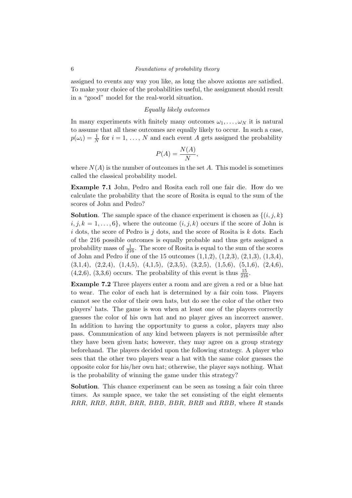assigned to events any way you like, as long the above axioms are satisfied. To make your choice of the probabilities useful, the assignment should result in a "good" model for the real-world situation.

### Equally likely outcomes

In many experiments with finitely many outcomes  $\omega_1, \ldots, \omega_N$  it is natural to assume that all these outcomes are equally likely to occur. In such a case,  $p(\omega_i) = \frac{1}{N}$  for  $i = 1, \ldots, N$  and each event A gets assigned the probability

$$
P(A) = \frac{N(A)}{N},
$$

where  $N(A)$  is the number of outcomes in the set A. This model is sometimes called the classical probability model.

Example 7.1 John, Pedro and Rosita each roll one fair die. How do we calculate the probability that the score of Rosita is equal to the sum of the scores of John and Pedro?

**Solution**. The sample space of the chance experiment is chosen as  $\{(i, j, k)\}$  $i, j, k = 1, \ldots, 6$ , where the outcome  $(i, j, k)$  occurs if the score of John is  $i$  dots, the score of Pedro is  $j$  dots, and the score of Rosita is  $k$  dots. Each of the 216 possible outcomes is equally probable and thus gets assigned a probability mass of  $\frac{1}{216}$ . The score of Rosita is equal to the sum of the scores of John and Pedro if one of the 15 outcomes  $(1,1,2)$ ,  $(1,2,3)$ ,  $(2,1,3)$ ,  $(1,3,4)$ ,  $(3,1,4)$ ,  $(2,2,4)$ ,  $(1,4,5)$ ,  $(4,1,5)$ ,  $(2,3,5)$ ,  $(3,2,5)$ ,  $(1,5,6)$ ,  $(5,1,6)$ ,  $(2,4,6)$ ,  $(4,2,6)$ ,  $(3,3,6)$  occurs. The probability of this event is thus  $\frac{15}{216}$ .

Example 7.2 Three players enter a room and are given a red or a blue hat to wear. The color of each hat is determined by a fair coin toss. Players cannot see the color of their own hats, but do see the color of the other two players' hats. The game is won when at least one of the players correctly guesses the color of his own hat and no player gives an incorrect answer. In addition to having the opportunity to guess a color, players may also pass. Communication of any kind between players is not permissible after they have been given hats; however, they may agree on a group strategy beforehand. The players decided upon the following strategy. A player who sees that the other two players wear a hat with the same color guesses the opposite color for his/her own hat; otherwise, the player says nothing. What is the probability of winning the game under this strategy?

Solution. This chance experiment can be seen as tossing a fair coin three times. As sample space, we take the set consisting of the eight elements RRR, RRB, RBR, BRR, BBB, BBR, BRB and RBB, where R stands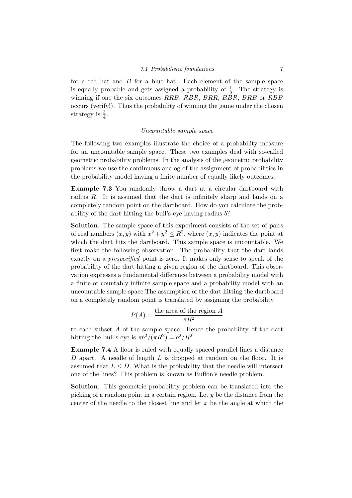for a red hat and  $B$  for a blue hat. Each element of the sample space is equally probable and gets assigned a probability of  $\frac{1}{8}$ . The strategy is winning if one the six outcomes RRB, RBR, BRR, BBR, BRB or RBB occurs (verify!). Thus the probability of winning the game under the chosen strategy is  $\frac{3}{4}$ .

#### Uncountable sample space

The following two examples illustrate the choice of a probability measure for an uncountable sample space. These two examples deal with so-called geometric probability problems. In the analysis of the geometric probability problems we use the continuous analog of the assignment of probabilities in the probability model having a finite number of equally likely outcomes.

Example 7.3 You randomly throw a dart at a circular dartboard with radius R. It is assumed that the dart is infinitely sharp and lands on a completely random point on the dartboard. How do you calculate the probability of the dart hitting the bull's-eye having radius b?

Solution. The sample space of this experiment consists of the set of pairs of real numbers  $(x, y)$  with  $x^2 + y^2 \leq R^2$ , where  $(x, y)$  indicates the point at which the dart hits the dartboard. This sample space is uncountable. We first make the following observation. The probability that the dart lands exactly on a prespecified point is zero. It makes only sense to speak of the probability of the dart hitting a given region of the dartboard. This observation expresses a fundamental difference between a probability model with a finite or countably infinite sample space and a probability model with an uncountable sample space.The assumption of the dart hitting the dartboard on a completely random point is translated by assigning the probability

$$
P(A) = \frac{\text{the area of the region } A}{\pi R^2}
$$

to each subset A of the sample space. Hence the probability of the dart hitting the bull's-eye is  $\pi b^2/(\pi R^2) = b^2/R^2$ .

Example 7.4 A floor is ruled with equally spaced parallel lines a distance D apart. A needle of length  $L$  is dropped at random on the floor. It is assumed that  $L \leq D$ . What is the probability that the needle will intersect one of the lines? This problem is known as Buffon's needle problem.

Solution. This geometric probability problem can be translated into the picking of a random point in a certain region. Let  $y$  be the distance from the center of the needle to the closest line and let  $x$  be the angle at which the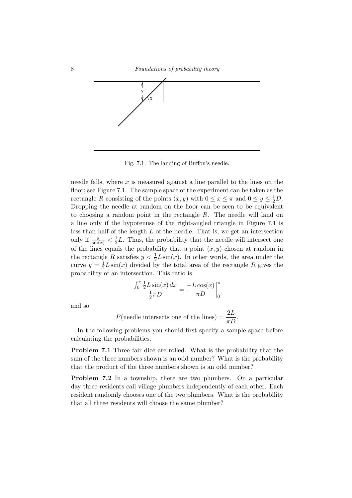

Fig. 7.1. The landing of Buffon's needle.

needle falls, where  $x$  is measured against a line parallel to the lines on the floor; see Figure 7.1. The sample space of the experiment can be taken as the rectangle R consisting of the points  $(x, y)$  with  $0 \le x \le \pi$  and  $0 \le y \le \frac{1}{2}D$ . Dropping the needle at random on the floor can be seen to be equivalent to choosing a random point in the rectangle  $R$ . The needle will land on a line only if the hypotenuse of the right-angled triangle in Figure 7.1 is less than half of the length  $L$  of the needle. That is, we get an intersection only if  $\frac{y}{\sin(x)} < \frac{1}{2}$  $\frac{1}{2}L$ . Thus, the probability that the needle will intersect one of the lines equals the probability that a point  $(x, y)$  chosen at random in the rectangle R satisfies  $y < \frac{1}{2}L\sin(x)$ . In other words, the area under the curve  $y=\frac{1}{2}$  $\frac{1}{2}L\sin(x)$  divided by the total area of the rectangle R gives the probability of an intersection. This ratio is

$$
\frac{\int_0^{\pi} \frac{1}{2} L \sin(x) \, dx}{\frac{1}{2} \pi D} = \frac{-L \cos(x)}{\pi D} \Big|_0^{\pi}
$$

and so

$$
P(\text{needed} \text{ intersects one of the lines}) = \frac{2L}{\pi D}.
$$

In the following problems you should first specify a sample space before calculating the probabilities.

Problem 7.1 Three fair dice are rolled. What is the probability that the sum of the three numbers shown is an odd number? What is the probability that the product of the three numbers shown is an odd number?

Problem 7.2 In a township, there are two plumbers. On a particular day three residents call village plumbers independently of each other. Each resident randomly chooses one of the two plumbers. What is the probability that all three residents will choose the same plumber?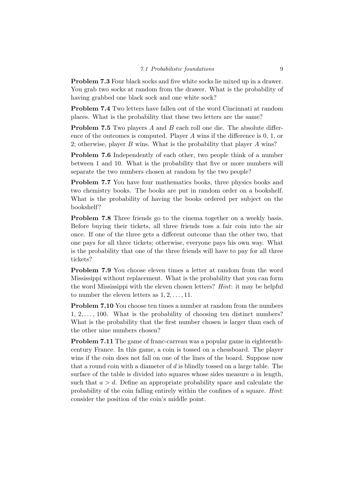Problem 7.3 Four black socks and five white socks lie mixed up in a drawer. You grab two socks at random from the drawer. What is the probability of having grabbed one black sock and one white sock?

Problem 7.4 Two letters have fallen out of the word Cincinnati at random places. What is the probability that these two letters are the same?

Problem 7.5 Two players A and B each roll one die. The absolute difference of the outcomes is computed. Player A wins if the difference is  $0, 1$ , or 2; otherwise, player B wins. What is the probability that player A wins?

Problem 7.6 Independently of each other, two people think of a number between 1 and 10. What is the probability that five or more numbers will separate the two numbers chosen at random by the two people?

Problem 7.7 You have four mathematics books, three physics books and two chemistry books. The books are put in random order on a bookshelf. What is the probability of having the books ordered per subject on the bookshelf?

Problem 7.8 Three friends go to the cinema together on a weekly basis. Before buying their tickets, all three friends toss a fair coin into the air once. If one of the three gets a different outcome than the other two, that one pays for all three tickets; otherwise, everyone pays his own way. What is the probability that one of the three friends will have to pay for all three tickets?

Problem 7.9 You choose eleven times a letter at random from the word Mississippi without replacement. What is the probability that you can form the word Mississippi with the eleven chosen letters? Hint: it may be helpful to number the eleven letters as  $1, 2, \ldots, 11$ .

Problem 7.10 You choose ten times a number at random from the numbers  $1, 2, \ldots, 100$ . What is the probability of choosing ten distinct numbers? What is the probability that the first number chosen is larger than each of the other nine numbers chosen?

Problem 7.11 The game of franc-carreau was a popular game in eighteenthcentury France. In this game, a coin is tossed on a chessboard. The player wins if the coin does not fall on one of the lines of the board. Suppose now that a round coin with a diameter of  $d$  is blindly tossed on a large table. The surface of the table is divided into squares whose sides measure  $a$  in length, such that  $a > d$ . Define an appropriate probability space and calculate the probability of the coin falling entirely within the confines of a square. Hint: consider the position of the coin's middle point.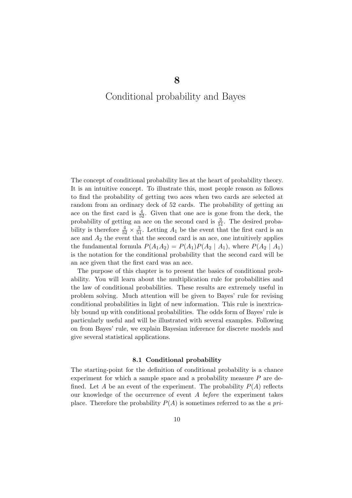# Conditional probability and Bayes

8

The concept of conditional probability lies at the heart of probability theory. It is an intuitive concept. To illustrate this, most people reason as follows to find the probability of getting two aces when two cards are selected at random from an ordinary deck of 52 cards. The probability of getting an ace on the first card is  $\frac{4}{52}$ . Given that one ace is gone from the deck, the probability of getting an ace on the second card is  $\frac{3}{51}$ . The desired probability is therefore  $\frac{4}{52} \times \frac{3}{51}$ . Letting  $A_1$  be the event that the first card is an ace and  $A_2$  the event that the second card is an ace, one intuitively applies the fundamental formula  $P(A_1A_2) = P(A_1)P(A_2 | A_1)$ , where  $P(A_2 | A_1)$ is the notation for the conditional probability that the second card will be an ace given that the first card was an ace.

The purpose of this chapter is to present the basics of conditional probability. You will learn about the multiplication rule for probabilities and the law of conditional probabilities. These results are extremely useful in problem solving. Much attention will be given to Bayes' rule for revising conditional probabilities in light of new information. This rule is inextricably bound up with conditional probabilities. The odds form of Bayes' rule is particularly useful and will be illustrated with several examples. Following on from Bayes' rule, we explain Bayesian inference for discrete models and give several statistical applications.

#### 8.1 Conditional probability

The starting-point for the definition of conditional probability is a chance experiment for which a sample space and a probability measure  $P$  are defined. Let A be an event of the experiment. The probability  $P(A)$  reflects our knowledge of the occurrence of event A before the experiment takes place. Therefore the probability  $P(A)$  is sometimes referred to as the a pri-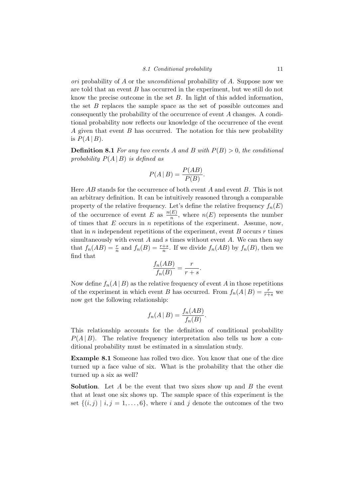ori probability of A or the unconditional probability of A. Suppose now we are told that an event B has occurred in the experiment, but we still do not know the precise outcome in the set  $B$ . In light of this added information, the set  $B$  replaces the sample space as the set of possible outcomes and consequently the probability of the occurrence of event A changes. A conditional probability now reflects our knowledge of the occurrence of the event A given that event B has occurred. The notation for this new probability is  $P(A|B)$ .

**Definition 8.1** For any two events A and B with  $P(B) > 0$ , the conditional probability  $P(A | B)$  is defined as

$$
P(A | B) = \frac{P(AB)}{P(B)}.
$$

Here AB stands for the occurrence of both event A and event B. This is not an arbitrary definition. It can be intuitively reasoned through a comparable property of the relative frequency. Let's define the relative frequency  $f_n(E)$ of the occurrence of event E as  $\frac{n(E)}{n}$  $\frac{E}{n}$ , where  $n(E)$  represents the number of times that  $E$  occurs in  $n$  repetitions of the experiment. Assume, now, that in n independent repetitions of the experiment, event  $B$  occurs  $r$  times simultaneously with event  $A$  and  $s$  times without event  $A$ . We can then say that  $f_n(AB) = \frac{r}{n}$  and  $f_n(B) = \frac{r+s}{n}$ . If we divide  $f_n(AB)$  by  $f_n(B)$ , then we find that

$$
\frac{f_n(AB)}{f_n(B)} = \frac{r}{r+s}.
$$

Now define  $f_n(A | B)$  as the relative frequency of event A in those repetitions of the experiment in which event B has occurred. From  $f_n(A | B) = \frac{r}{r+s}$  we now get the following relationship:

$$
f_n(A | B) = \frac{f_n(AB)}{f_n(B)}.
$$

This relationship accounts for the definition of conditional probability  $P(A | B)$ . The relative frequency interpretation also tells us how a conditional probability must be estimated in a simulation study.

Example 8.1 Someone has rolled two dice. You know that one of the dice turned up a face value of six. What is the probability that the other die turned up a six as well?

**Solution.** Let A be the event that two sixes show up and B the event that at least one six shows up. The sample space of this experiment is the set  $\{(i, j) | i, j = 1, \ldots, 6\}$ , where i and j denote the outcomes of the two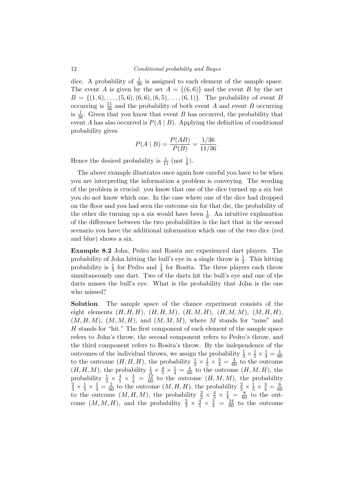dice. A probability of  $\frac{1}{36}$  is assigned to each element of the sample space. The event A is given by the set  $A = \{(6,6)\}\$ and the event B by the set  $B = \{(1,6), \ldots, (5,6), (6,6), (6,5), \ldots, (6,1)\}.$  The probability of event B occurring is  $\frac{11}{36}$  and the probability of both event A and event B occurring is  $\frac{1}{36}$ . Given that you know that event B has occurred, the probability that event A has also occurred is  $P(A | B)$ . Applying the definition of conditional probability gives

$$
P(A | B) = \frac{P(AB)}{P(B)} = \frac{1/36}{11/36}.
$$

Hence the desired probability is  $\frac{1}{11}$  (not  $\frac{1}{6}$ ).

The above example illustrates once again how careful you have to be when you are interpreting the information a problem is conveying. The wording of the problem is crucial: you know that one of the dice turned up a six but you do not know which one. In the case where one of the dice had dropped on the floor and you had seen the outcome six for that die, the probability of the other die turning up a six would have been  $\frac{1}{6}$ . An intuitive explanation of the difference between the two probabilities is the fact that in the second scenario you have the additional information which one of the two dice (red and blue) shows a six.

Example 8.2 John, Pedro and Rosita are experienced dart players. The probability of John hitting the bull's eye in a single throw is  $\frac{1}{3}$ . This hitting probability is  $\frac{1}{5}$  for Pedro and  $\frac{1}{4}$  for Rosita. The three players each throw simultaneously one dart. Two of the darts hit the bull's eye and one of the darts misses the bull's eye. What is the probability that John is the one who missed?

Solution. The sample space of the chance experiment consists of the eight elements  $(H, H, H), (H, H, M), (H, M, H), (H, M, M), (M, H, H),$  $(M, H, M)$ ,  $(M, M, H)$ , and  $(M, M, M)$ , where M stands for "miss" and H stands for "hit." The first component of each element of the sample space refers to John's throw, the second component refers to Pedro's throw, and the third component refers to Rosita's throw. By the independence of the outcomes of the individual throws, we assign the probability  $\frac{1}{3} \times \frac{1}{5} \times \frac{1}{4} = \frac{1}{60}$ 60 to the outcome  $(H, H, H)$ , the probability  $\frac{1}{3} \times \frac{1}{5} \times \frac{3}{4} = \frac{3}{60}$  to the outcome  $(H, H, M)$ , the probability  $\frac{1}{3} \times \frac{4}{5} \times \frac{1}{4} = \frac{4}{60}$  to the outcome  $(H, M, H)$ , the probability  $\frac{1}{3} \times \frac{4}{5} \times \frac{3}{4} = \frac{12}{60}$  to the outcome  $(H, M, M)$ , the probability  $\frac{2}{3} \times \frac{1}{5} \times \frac{3}{4} = \frac{6}{60}$  at the outcome  $(M, H, H)$ , the probability  $\frac{2}{3} \times \frac{1}{5} \times \frac{3}{4} = \frac{6}{60}$  $\frac{1}{3} \times \frac{1}{5} \times \frac{1}{4} = \frac{1}{60}$  to the outcome  $(M, H, M)$ , the probability  $\frac{2}{3} \times \frac{4}{5} \times \frac{1}{4} = \frac{8}{60}$  to the outcome  $(M, M, H)$ , and the probability  $\frac{2}{3} \times \frac{4}{5} \times \frac{3}{4} = \frac{24}{60}$  to the outcome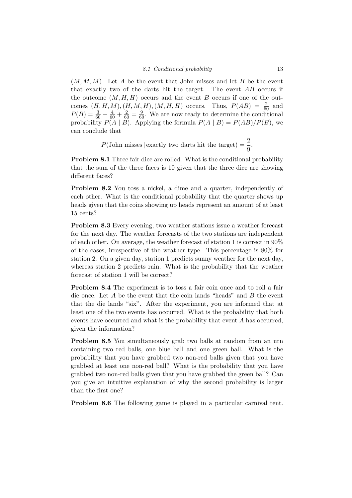$(M, M, M)$ . Let A be the event that John misses and let B be the event that exactly two of the darts hit the target. The event AB occurs if the outcome  $(M, H, H)$  occurs and the event B occurs if one of the outcomes  $(H, H, M), (H, M, H), (M, H, H)$  occurs. Thus,  $P(AB) = \frac{2}{60}$  and  $P(B) = \frac{3}{60} + \frac{4}{60} + \frac{2}{60} = \frac{9}{60}$ . We are now ready to determine the conditional probability  $P(A | B)$ . Applying the formula  $P(A | B) = P(AB)/P(B)$ , we can conclude that

 $P(\text{John misses} | \text{exactly two darts hit the target}) = \frac{2}{9}.$ 

Problem 8.1 Three fair dice are rolled. What is the conditional probability that the sum of the three faces is 10 given that the three dice are showing different faces?

Problem 8.2 You toss a nickel, a dime and a quarter, independently of each other. What is the conditional probability that the quarter shows up heads given that the coins showing up heads represent an amount of at least 15 cents?

Problem 8.3 Every evening, two weather stations issue a weather forecast for the next day. The weather forecasts of the two stations are independent of each other. On average, the weather forecast of station 1 is correct in 90% of the cases, irrespective of the weather type. This percentage is 80% for station 2. On a given day, station 1 predicts sunny weather for the next day, whereas station 2 predicts rain. What is the probability that the weather forecast of station 1 will be correct?

Problem 8.4 The experiment is to toss a fair coin once and to roll a fair die once. Let  $A$  be the event that the coin lands "heads" and  $B$  the event that the die lands "six". After the experiment, you are informed that at least one of the two events has occurred. What is the probability that both events have occurred and what is the probability that event A has occurred, given the information?

Problem 8.5 You simultaneously grab two balls at random from an urn containing two red balls, one blue ball and one green ball. What is the probability that you have grabbed two non-red balls given that you have grabbed at least one non-red ball? What is the probability that you have grabbed two non-red balls given that you have grabbed the green ball? Can you give an intuitive explanation of why the second probability is larger than the first one?

Problem 8.6 The following game is played in a particular carnival tent.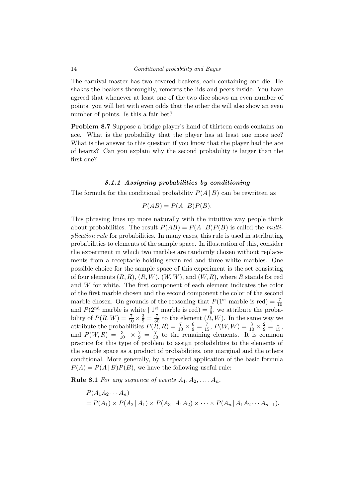The carnival master has two covered beakers, each containing one die. He shakes the beakers thoroughly, removes the lids and peers inside. You have agreed that whenever at least one of the two dice shows an even number of points, you will bet with even odds that the other die will also show an even number of points. Is this a fair bet?

Problem 8.7 Suppose a bridge player's hand of thirteen cards contains an ace. What is the probability that the player has at least one more ace? What is the answer to this question if you know that the player had the ace of hearts? Can you explain why the second probability is larger than the first one?

### 8.1.1 Assigning probabilities by conditioning

The formula for the conditional probability  $P(A | B)$  can be rewritten as

$$
P(AB) = P(A | B)P(B).
$$

This phrasing lines up more naturally with the intuitive way people think about probabilities. The result  $P(AB) = P(A | B)P(B)$  is called the *multi*plication rule for probabilities. In many cases, this rule is used in attributing probabilities to elements of the sample space. In illustration of this, consider the experiment in which two marbles are randomly chosen without replacements from a receptacle holding seven red and three white marbles. One possible choice for the sample space of this experiment is the set consisting of four elements  $(R, R), (R, W), (W, W),$  and  $(W, R)$ , where R stands for red and W for white. The first component of each element indicates the color of the first marble chosen and the second component the color of the second marble chosen. On grounds of the reasoning that  $P(1^{\text{st}} \text{ marble is red}) = \frac{7}{10}$ and  $P(2<sup>nd</sup>$  marble is white  $|1<sup>st</sup>$  marble is red) =  $\frac{3}{9}$ , we attribute the probability of  $P(R, W) = \frac{7}{10} \times \frac{3}{9} = \frac{7}{30}$  to the element  $(R, W)$ . In the same way we attribute the probabilities  $P(\tilde{R}, R) = \frac{7}{10} \times \frac{6}{9} = \frac{7}{15}$ ,  $P(W, W) = \frac{3}{10} \times \frac{2}{9} = \frac{1}{15}$ , and  $P(W, R) = \frac{3}{10} \times \frac{7}{9} = \frac{7}{30}$  to the remaining elements. It is common practice for this type of problem to assign probabilities to the elements of the sample space as a product of probabilities, one marginal and the others conditional. More generally, by a repeated application of the basic formula  $P(A) = P(A | B)P(B)$ , we have the following useful rule:

**Rule 8.1** For any sequence of events  $A_1, A_2, \ldots, A_n$ ,

$$
P(A_1 A_2 \cdots A_n)
$$
  
=  $P(A_1) \times P(A_2 | A_1) \times P(A_3 | A_1 A_2) \times \cdots \times P(A_n | A_1 A_2 \cdots A_{n-1}).$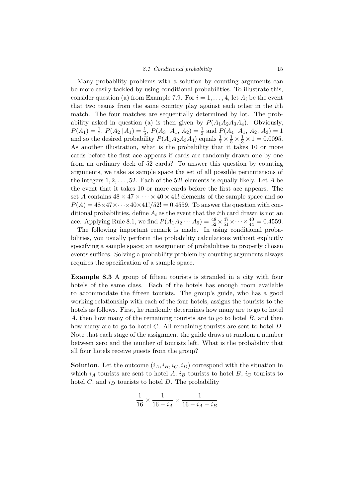#### 8.1 Conditional probability 15

Many probability problems with a solution by counting arguments can be more easily tackled by using conditional probabilities. To illustrate this, consider question (a) from Example 7.9. For  $i = 1, \ldots, 4$ , let  $A_i$  be the event that two teams from the same country play against each other in the ith match. The four matches are sequentially determined by lot. The probability asked in question (a) is then given by  $P(A_1A_2A_3A_4)$ . Obviously,  $P(A_1) = \frac{1}{7}$ ,  $P(A_2 | A_1) = \frac{1}{5}$ ,  $P(A_3 | A_1, A_2) = \frac{1}{3}$  and  $P(A_4 | A_1, A_2, A_3) = 1$ and so the desired probability  $P(A_1A_2A_3A_4)$  equals  $\frac{1}{7} \times \frac{1}{5} \times \frac{1}{3} \times 1 = 0.0095$ . As another illustration, what is the probability that it takes 10 or more cards before the first ace appears if cards are randomly drawn one by one from an ordinary deck of 52 cards? To answer this question by counting arguments, we take as sample space the set of all possible permutations of the integers  $1, 2, \ldots, 52$ . Each of the 52! elements is equally likely. Let A be the event that it takes 10 or more cards before the first ace appears. The set A contains  $48 \times 47 \times \cdots \times 40 \times 41!$  elements of the sample space and so  $P(A) = 48 \times 47 \times \cdots \times 40 \times 41!/52! = 0.4559$ . To answer the question with conditional probabilities, define  $A_i$  as the event that the *i*th card drawn is not an ace. Applying Rule 8.1, we find  $P(A_1A_2\cdots A_9) = \frac{48}{52} \times \frac{47}{51} \times \cdots \times \frac{40}{44} = 0.4559$ .

The following important remark is made. In using conditional probabilities, you usually perform the probability calculations without explicitly specifying a sample space; an assignment of probabilities to properly chosen events suffices. Solving a probability problem by counting arguments always requires the specification of a sample space.

Example 8.3 A group of fifteen tourists is stranded in a city with four hotels of the same class. Each of the hotels has enough room available to accommodate the fifteen tourists. The group's guide, who has a good working relationship with each of the four hotels, assigns the tourists to the hotels as follows. First, he randomly determines how many are to go to hotel A, then how many of the remaining tourists are to go to hotel  $B$ , and then how many are to go to hotel C. All remaining tourists are sent to hotel D. Note that each stage of the assignment the guide draws at random a number between zero and the number of tourists left. What is the probability that all four hotels receive guests from the group?

**Solution**. Let the outcome  $(i_A, i_B, i_C, i_D)$  correspond with the situation in which  $i_A$  tourists are sent to hotel A,  $i_B$  tourists to hotel B,  $i_C$  tourists to hotel  $C$ , and  $i_D$  tourists to hotel  $D$ . The probability

$$
\frac{1}{16} \times \frac{1}{16-i_A} \times \frac{1}{16-i_A-i_B}
$$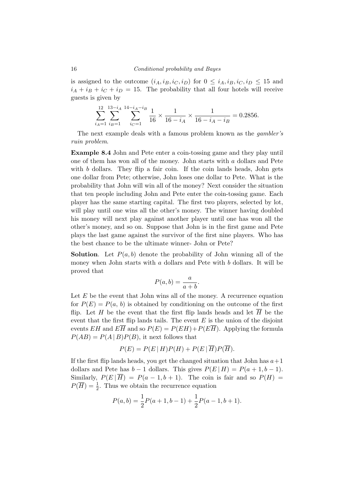is assigned to the outcome  $(i_A, i_B, i_C, i_D)$  for  $0 \leq i_A, i_B, i_C, i_D \leq 15$  and  $i_A + i_B + i_C + i_D = 15$ . The probability that all four hotels will receive guests is given by

$$
\sum_{i_A=1}^{12} \sum_{i_B=1}^{13-i_A} \sum_{i_C=1}^{14-i_A-i_B} \frac{1}{16} \times \frac{1}{16-i_A} \times \frac{1}{16-i_A-i_B} = 0.2856.
$$

The next example deals with a famous problem known as the gambler's ruin problem.

Example 8.4 John and Pete enter a coin-tossing game and they play until one of them has won all of the money. John starts with a dollars and Pete with b dollars. They flip a fair coin. If the coin lands heads, John gets one dollar from Pete; otherwise, John loses one dollar to Pete. What is the probability that John will win all of the money? Next consider the situation that ten people including John and Pete enter the coin-tossing game. Each player has the same starting capital. The first two players, selected by lot, will play until one wins all the other's money. The winner having doubled his money will next play against another player until one has won all the other's money, and so on. Suppose that John is in the first game and Pete plays the last game against the survivor of the first nine players. Who has the best chance to be the ultimate winner- John or Pete?

**Solution.** Let  $P(a, b)$  denote the probability of John winning all of the money when John starts with  $a$  dollars and Pete with  $b$  dollars. It will be proved that

$$
P(a,b) = \frac{a}{a+b}.
$$

Let  $E$  be the event that John wins all of the money. A recurrence equation for  $P(E) = P(a, b)$  is obtained by conditioning on the outcome of the first flip. Let H be the event that the first flip lands heads and let  $\overline{H}$  be the event that the first flip lands tails. The event  $E$  is the union of the disjoint events EH and  $E\overline{H}$  and so  $P(E) = P(EH) + P(E\overline{H})$ . Applying the formula  $P(AB) = P(A | B)P(B)$ , it next follows that

$$
P(E) = P(E | H)P(H) + P(E | \overline{H})P(\overline{H}).
$$

If the first flip lands heads, you get the changed situation that John has  $a+1$ dollars and Pete has  $b-1$  dollars. This gives  $P(E|H) = P(a+1, b-1)$ . Similarly,  $P(E|\overline{H}) = P(a-1,b+1)$ . The coin is fair and so  $P(H) =$  $P(\overline{H}) = \frac{1}{2}$ . Thus we obtain the recurrence equation

$$
P(a,b) = \frac{1}{2}P(a+1,b-1) + \frac{1}{2}P(a-1,b+1).
$$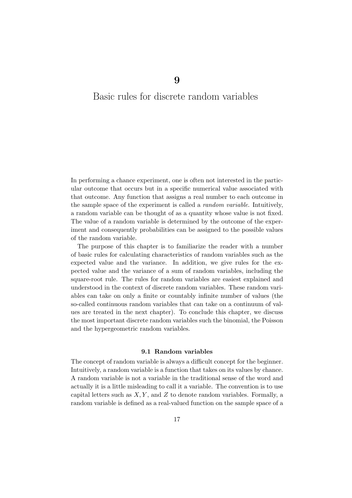### Basic rules for discrete random variables

In performing a chance experiment, one is often not interested in the particular outcome that occurs but in a specific numerical value associated with that outcome. Any function that assigns a real number to each outcome in the sample space of the experiment is called a random variable. Intuitively, a random variable can be thought of as a quantity whose value is not fixed. The value of a random variable is determined by the outcome of the experiment and consequently probabilities can be assigned to the possible values of the random variable.

The purpose of this chapter is to familiarize the reader with a number of basic rules for calculating characteristics of random variables such as the expected value and the variance. In addition, we give rules for the expected value and the variance of a sum of random variables, including the square-root rule. The rules for random variables are easiest explained and understood in the context of discrete random variables. These random variables can take on only a finite or countably infinite number of values (the so-called continuous random variables that can take on a continuum of values are treated in the next chapter). To conclude this chapter, we discuss the most important discrete random variables such the binomial, the Poisson and the hypergeometric random variables.

#### 9.1 Random variables

The concept of random variable is always a difficult concept for the beginner. Intuitively, a random variable is a function that takes on its values by chance. A random variable is not a variable in the traditional sense of the word and actually it is a little misleading to call it a variable. The convention is to use capital letters such as  $X, Y$ , and  $Z$  to denote random variables. Formally, a random variable is defined as a real-valued function on the sample space of a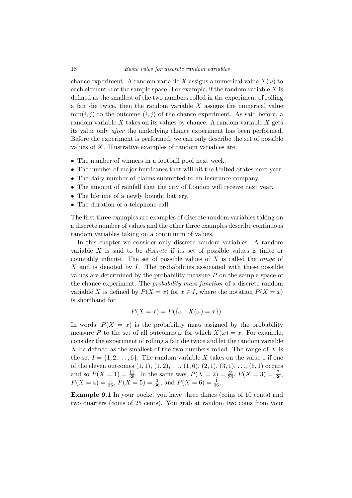chance experiment. A random variable X assigns a numerical value  $X(\omega)$  to each element  $\omega$  of the sample space. For example, if the random variable X is defined as the smallest of the two numbers rolled in the experiment of rolling a fair die twice, then the random variable  $X$  assigns the numerical value  $\min(i, j)$  to the outcome  $(i, j)$  of the chance experiment. As said before, a random variable  $X$  takes on its values by chance. A random variable  $X$  gets its value only after the underlying chance experiment has been performed. Before the experiment is performed, we can only describe the set of possible values of X. Illustrative examples of random variables are:

- The number of winners in a football pool next week.
- The number of major hurricanes that will hit the United States next year.
- The daily number of claims submitted to an insurance company.
- The amount of rainfall that the city of London will receive next year.
- The lifetime of a newly bought battery.
- The duration of a telephone call.

The first three examples are examples of discrete random variables taking on a discrete number of values and the other three examples describe continuous random variables taking on a continuum of values.

In this chapter we consider only discrete random variables. A random variable  $X$  is said to be *discrete* if its set of possible values is finite or countably infinite. The set of possible values of  $X$  is called the *range* of X and is denoted by I. The probabilities associated with these possible values are determined by the probability measure  $P$  on the sample space of the chance experiment. The probability mass function of a discrete random variable X is defined by  $P(X = x)$  for  $x \in I$ , where the notation  $P(X = x)$ is shorthand for

$$
P(X = x) = P(\{\omega : X(\omega) = x\}).
$$

In words,  $P(X = x)$  is the probability mass assigned by the probability measure P to the set of all outcomes  $\omega$  for which  $X(\omega) = x$ . For example, consider the experiment of rolling a fair die twice and let the random variable X be defined as the smallest of the two numbers rolled. The range of X is the set  $I = \{1, 2, \ldots, 6\}$ . The random variable X takes on the value 1 if one of the eleven outcomes  $(1, 1), (1, 2), \ldots, (1, 6), (2, 1), (3, 1), \ldots, (6, 1)$  occurs and so  $P(X = 1) = \frac{11}{36}$ . In the same way,  $P(X = 2) = \frac{9}{36}$ ,  $P(X = 3) = \frac{7}{36}$ ,  $P(X = 4) = \frac{5}{36}, P(X = 5) = \frac{3}{36}, \text{ and } P(X = 6) = \frac{1}{36}.$ 

Example 9.1 In your pocket you have three dimes (coins of 10 cents) and two quarters (coins of 25 cents). You grab at random two coins from your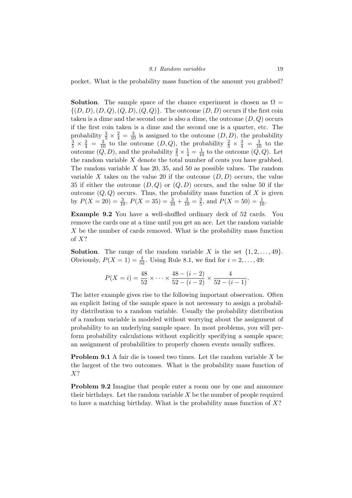pocket. What is the probability mass function of the amount you grabbed?

**Solution.** The sample space of the chance experiment is chosen as  $\Omega =$  $\{(D, D), (D, Q), (Q, D), (Q, Q)\}\$ . The outcome  $(D, D)$  occurs if the first coin taken is a dime and the second one is also a dime, the outcome  $(D, Q)$  occurs if the first coin taken is a dime and the second one is a quarter, etc. The probability  $\frac{3}{5} \times \frac{2}{4} = \frac{3}{10}$  is assigned to the outcome  $(D, D)$ , the probability  $\frac{3}{5} \times \frac{2}{4} = \frac{3}{10}$  to the outcome  $(D, Q)$ , the probability  $\frac{2}{5} \times \frac{3}{4} = \frac{3}{10}$  to the outcome  $(Q, D)$ , and the probability  $\frac{2}{5} \times \frac{1}{4} = \frac{1}{10}$  to the outcome  $(Q, Q)$ . Let the random variable  $X$  denote the total number of cents you have grabbed. The random variable  $X$  has 20, 35, and 50 as possible values. The random variable X takes on the value 20 if the outcome  $(D, D)$  occurs, the value 35 if either the outcome  $(D, Q)$  or  $(Q, D)$  occurs, and the value 50 if the outcome  $(Q, Q)$  occurs. Thus, the probability mass function of X is given by  $P(X = 20) = \frac{3}{10}$ ,  $P(X = 35) = \frac{3}{10} + \frac{3}{10} = \frac{3}{5}$  $\frac{3}{5}$ , and  $P(X = 50) = \frac{1}{10}$ .

Example 9.2 You have a well-shuffled ordinary deck of 52 cards. You remove the cards one at a time until you get an ace. Let the random variable X be the number of cards removed. What is the probability mass function of X?

**Solution.** The range of the random variable X is the set  $\{1, 2, \ldots, 49\}$ . Obviously,  $P(X = 1) = \frac{4}{52}$ . Using Rule 8.1, we find for  $i = 2, ..., 49$ :

$$
P(X = i) = \frac{48}{52} \times \cdots \times \frac{48 - (i - 2)}{52 - (i - 2)} \times \frac{4}{52 - (i - 1)}.
$$

The latter example gives rise to the following important observation. Often an explicit listing of the sample space is not necessary to assign a probability distribution to a random variable. Usually the probability distribution of a random variable is modeled without worrying about the assignment of probability to an underlying sample space. In most problems, you will perform probability calculations without explicitly specifying a sample space; an assignment of probabilities to properly chosen events usually suffices.

Problem 9.1 A fair die is tossed two times. Let the random variable X be the largest of the two outcomes. What is the probability mass function of X?

Problem 9.2 Imagine that people enter a room one by one and announce their birthdays. Let the random variable  $X$  be the number of people required to have a matching birthday. What is the probability mass function of  $X$ ?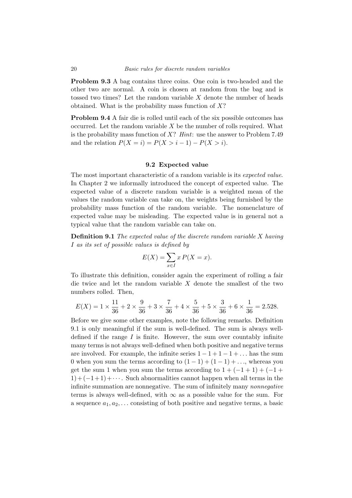Problem 9.3 A bag contains three coins. One coin is two-headed and the other two are normal. A coin is chosen at random from the bag and is tossed two times? Let the random variable  $X$  denote the number of heads obtained. What is the probability mass function of  $X$ ?

Problem 9.4 A fair die is rolled until each of the six possible outcomes has occurred. Let the random variable  $X$  be the number of rolls required. What is the probability mass function of  $X$ ? Hint: use the answer to Problem 7.49 and the relation  $P(X = i) = P(X > i - 1) - P(X > i)$ .

### 9.2 Expected value

The most important characteristic of a random variable is its expected value. In Chapter 2 we informally introduced the concept of expected value. The expected value of a discrete random variable is a weighted mean of the values the random variable can take on, the weights being furnished by the probability mass function of the random variable. The nomenclature of expected value may be misleading. The expected value is in general not a typical value that the random variable can take on.

**Definition 9.1** The expected value of the discrete random variable  $X$  having I as its set of possible values is defined by

$$
E(X) = \sum_{x \in I} x P(X = x).
$$

To illustrate this definition, consider again the experiment of rolling a fair die twice and let the random variable  $X$  denote the smallest of the two numbers rolled. Then,

$$
E(X) = 1 \times \frac{11}{36} + 2 \times \frac{9}{36} + 3 \times \frac{7}{36} + 4 \times \frac{5}{36} + 5 \times \frac{3}{36} + 6 \times \frac{1}{36} = 2.528.
$$

Before we give some other examples, note the following remarks. Definition 9.1 is only meaningful if the sum is well-defined. The sum is always welldefined if the range  $I$  is finite. However, the sum over countably infinite many terms is not always well-defined when both positive and negative terms are involved. For example, the infinite series  $1 - 1 + 1 - 1 + \dots$  has the sum 0 when you sum the terms according to  $(1-1)+(1-1)+\ldots$ , whereas you get the sum 1 when you sum the terms according to  $1 + (-1 + 1) + (-1 +$  $1 + (-1 + 1) + \cdots$ . Such abnormalities cannot happen when all terms in the infinite summation are nonnegative. The sum of infinitely many nonnegative terms is always well-defined, with  $\infty$  as a possible value for the sum. For a sequence  $a_1, a_2, \ldots$  consisting of both positive and negative terms, a basic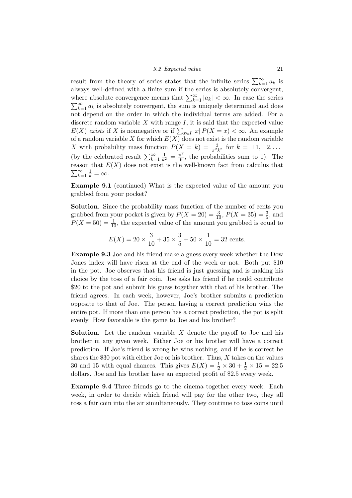result from the theory of series states that the infinite series  $\sum_{k=1}^{\infty} a_k$  is always well-defined with a finite sum if the series is absolutely convergent, where absolute convergence means that  $\sum_{k=1}^{\infty} |a_k| < \infty$ . In case the series  $\sum_{k=1}^{\infty} |a_k|$  and the series  $\sum_{k=1}^{\infty} |a_k|$  and the series  $\sum_{k=1}^{\infty} |a_k|$  and the series  $\sum_{k=1}^{\infty} |a_k|$  and the series  $\sum_{$  $\sum_{k=1}^{\infty} a_k$  is absolutely convergent, the sum is uniquely determined and does not depend on the order in which the individual terms are added. For a discrete random variable X with range I, it is said that the expected value discrete random variable  $X$  with range  $T$ , it is said that the expected value  $E(X)$  exists if  $X$  is nonnegative or if  $\sum_{x \in I} |x| P(X = x) < \infty$ . An example of a random variable X for which  $E(X)$  does not exist is the random variable X with probability mass function  $P(X = k) = \frac{3}{\pi^2 k^2}$  for  $k = \pm 1, \pm 2, \ldots$ (by the celebrated result  $\sum_{k=1}^{\infty} \frac{1}{k^2}$  $\frac{1}{k^2} = \frac{\pi^2}{6}$  $\frac{\tau^2}{6}$ , the probabilities sum to 1). The reason that  $E(X)$  does not exist is the well-known fact from calculus that reas<br>D∞  $_{k=1}^{\infty}$   $_{k=1}^{\infty}$  =  $\infty$ .

Example 9.1 (continued) What is the expected value of the amount you grabbed from your pocket?

Solution. Since the probability mass function of the number of cents you grabbed from your pocket is given by  $P(X = 20) = \frac{3}{10}$ ,  $P(X = 35) = \frac{3}{5}$ , and  $P(X = 50) = \frac{1}{10}$ , the expected value of the amount you grabbed is equal to

$$
E(X) = 20 \times \frac{3}{10} + 35 \times \frac{3}{5} + 50 \times \frac{1}{10} = 32
$$
 cents.

Example 9.3 Joe and his friend make a guess every week whether the Dow Jones index will have risen at the end of the week or not. Both put \$10 in the pot. Joe observes that his friend is just guessing and is making his choice by the toss of a fair coin. Joe asks his friend if he could contribute \$20 to the pot and submit his guess together with that of his brother. The friend agrees. In each week, however, Joe's brother submits a prediction opposite to that of Joe. The person having a correct prediction wins the entire pot. If more than one person has a correct prediction, the pot is split evenly. How favorable is the game to Joe and his brother?

**Solution.** Let the random variable  $X$  denote the payoff to Joe and his brother in any given week. Either Joe or his brother will have a correct prediction. If Joe's friend is wrong he wins nothing, and if he is correct he shares the \$30 pot with either Joe or his brother. Thus,  $X$  takes on the values 30 and 15 with equal chances. This gives  $E(X) = \frac{1}{2} \times 30 + \frac{1}{2} \times 15 = 22.5$ dollars. Joe and his brother have an expected profit of \$2.5 every week.

Example 9.4 Three friends go to the cinema together every week. Each week, in order to decide which friend will pay for the other two, they all toss a fair coin into the air simultaneously. They continue to toss coins until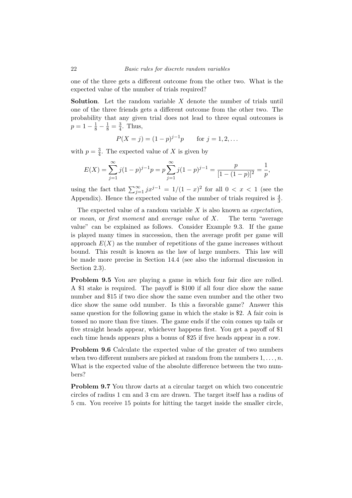one of the three gets a different outcome from the other two. What is the expected value of the number of trials required?

**Solution.** Let the random variable  $X$  denote the number of trials until one of the three friends gets a different outcome from the other two. The probability that any given trial does not lead to three equal outcomes is  $p=1-\frac{1}{8}-\frac{1}{8}=\frac{3}{4}$  $\frac{3}{4}$ . Thus,

$$
P(X = j) = (1 - p)^{j-1}p \quad \text{for } j = 1, 2, ...
$$

with  $p=\frac{3}{4}$  $\frac{3}{4}$ . The expected value of X is given by

$$
E(X) = \sum_{j=1}^{\infty} j(1-p)^{j-1}p = p \sum_{j=1}^{\infty} j(1-p)^{j-1} = \frac{p}{[1-(1-p)]^2} = \frac{1}{p},
$$

using the fact that  $\sum_{j=1}^{\infty} j x^{j-1} = 1/(1-x)^2$  for all  $0 < x < 1$  (see the Appendix). Hence the expected value of the number of trials required is  $\frac{4}{3}$ .

The expected value of a random variable  $X$  is also known as *expectation*, or mean, or first moment and average value of X. The term "average value" can be explained as follows. Consider Example 9.3. If the game is played many times in succession, then the average profit per game will approach  $E(X)$  as the number of repetitions of the game increases without bound. This result is known as the law of large numbers. This law will be made more precise in Section 14.4 (see also the informal discussion in Section 2.3).

Problem 9.5 You are playing a game in which four fair dice are rolled. A \$1 stake is required. The payoff is \$100 if all four dice show the same number and \$15 if two dice show the same even number and the other two dice show the same odd number. Is this a favorable game? Answer this same question for the following game in which the stake is \$2. A fair coin is tossed no more than five times. The game ends if the coin comes up tails or five straight heads appear, whichever happens first. You get a payoff of \$1 each time heads appears plus a bonus of \$25 if five heads appear in a row.

Problem 9.6 Calculate the expected value of the greater of two numbers when two different numbers are picked at random from the numbers  $1, \ldots, n$ . What is the expected value of the absolute difference between the two numbers?

Problem 9.7 You throw darts at a circular target on which two concentric circles of radius 1 cm and 3 cm are drawn. The target itself has a radius of 5 cm. You receive 15 points for hitting the target inside the smaller circle,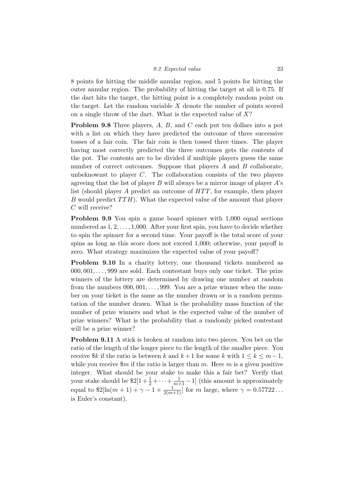### 9.2 Expected value 23

8 points for hitting the middle annular region, and 5 points for hitting the outer annular region. The probability of hitting the target at all is 0.75. If the dart hits the target, the hitting point is a completely random point on the target. Let the random variable  $X$  denote the number of points scored on a single throw of the dart. What is the expected value of  $X$ ?

**Problem 9.8** Three players, A, B, and C each put ten dollars into a pot with a list on which they have predicted the outcome of three successive tosses of a fair coin. The fair coin is then tossed three times. The player having most correctly predicted the three outcomes gets the contents of the pot. The contents are to be divided if multiple players guess the same number of correct outcomes. Suppose that players A and B collaborate, unbeknownst to player  $C$ . The collaboration consists of the two players agreeing that the list of player  $B$  will always be a mirror image of player  $A$ 's list (should player  $A$  predict an outcome of  $HTT$ , for example, then player B would predict  $TTH$ ). What the expected value of the amount that player C will receive?

Problem 9.9 You spin a game board spinner with 1,000 equal sections numbered as  $1, 2, \ldots, 1,000$ . After your first spin, you have to decide whether to spin the spinner for a second time. Your payoff is the total score of your spins as long as this score does not exceed 1,000; otherwise, your payoff is zero. What strategy maximizes the expected value of your payoff?

Problem 9.10 In a charity lottery, one thousand tickets numbered as  $000, 001, \ldots, 999$  are sold. Each contestant buys only one ticket. The prize winners of the lottery are determined by drawing one number at random from the numbers  $000, 001, \ldots, 999$ . You are a prize winner when the number on your ticket is the same as the number drawn or is a random permutation of the number drawn. What is the probability mass function of the number of prize winners and what is the expected value of the number of prize winners? What is the probability that a randomly picked contestant will be a prize winner?

Problem 9.11 A stick is broken at random into two pieces. You bet on the ratio of the length of the longer piece to the length of the smaller piece. You receive \$k if the ratio is between k and  $k+1$  for some k with  $1 \leq k \leq m-1$ , while you receive  $\Im m$  if the ratio is larger than m. Here m is a given positive integer. What should be your stake to make this a fair bet? Verify that your stake should be  $2[1 + \frac{1}{2} + \cdots + \frac{1}{m+1} - 1]$  (this amount is approximately equal to  $2[\ln(m+1) + \gamma - 1 + \frac{1}{2(m+1)}]$  for m large, where  $\gamma = 0.57722...$ is Euler's constant).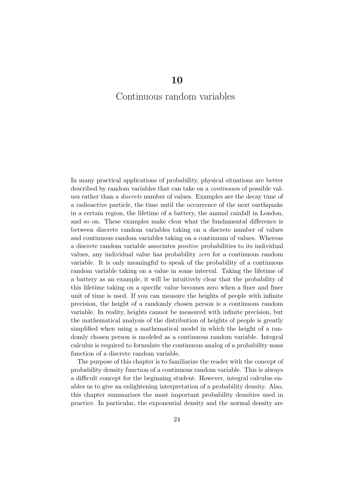### 10

### Continuous random variables

In many practical applications of probability, physical situations are better described by random variables that can take on a continuum of possible values rather than a discrete number of values. Examples are the decay time of a radioactive particle, the time until the occurrence of the next earthquake in a certain region, the lifetime of a battery, the annual rainfall in London, and so on. These examples make clear what the fundamental difference is between discrete random variables taking on a discrete number of values and continuous random variables taking on a continuum of values. Whereas a discrete random variable associates positive probabilities to its individual values, any individual value has probability zero for a continuous random variable. It is only meaningful to speak of the probability of a continuous random variable taking on a value in some interval. Taking the lifetime of a battery as an example, it will be intuitively clear that the probability of this lifetime taking on a specific value becomes zero when a finer and finer unit of time is used. If you can measure the heights of people with infinite precision, the height of a randomly chosen person is a continuous random variable. In reality, heights cannot be measured with infinite precision, but the mathematical analysis of the distribution of heights of people is greatly simplified when using a mathematical model in which the height of a randomly chosen person is modeled as a continuous random variable. Integral calculus is required to formulate the continuous analog of a probability mass function of a discrete random variable.

The purpose of this chapter is to familiarize the reader with the concept of probability density function of a continuous random variable. This is always a difficult concept for the beginning student. However, integral calculus enables us to give an enlightening interpretation of a probability density. Also, this chapter summarizes the most important probability densities used in practice. In particular, the exponential density and the normal density are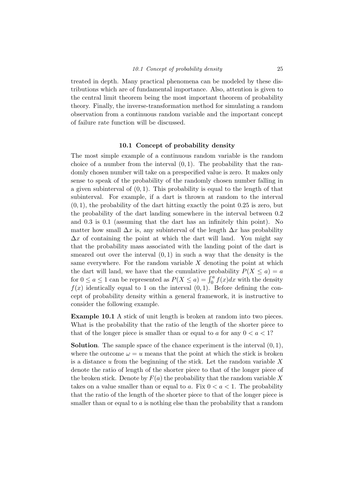treated in depth. Many practical phenomena can be modeled by these distributions which are of fundamental importance. Also, attention is given to the central limit theorem being the most important theorem of probability theory. Finally, the inverse-transformation method for simulating a random observation from a continuous random variable and the important concept of failure rate function will be discussed.

### 10.1 Concept of probability density

The most simple example of a continuous random variable is the random choice of a number from the interval  $(0, 1)$ . The probability that the randomly chosen number will take on a prespecified value is zero. It makes only sense to speak of the probability of the randomly chosen number falling in a given subinterval of  $(0, 1)$ . This probability is equal to the length of that subinterval. For example, if a dart is thrown at random to the interval  $(0, 1)$ , the probability of the dart hitting exactly the point 0.25 is zero, but the probability of the dart landing somewhere in the interval between 0.2 and 0.3 is 0.1 (assuming that the dart has an infinitely thin point). No matter how small  $\Delta x$  is, any subinterval of the length  $\Delta x$  has probability  $\Delta x$  of containing the point at which the dart will land. You might say that the probability mass associated with the landing point of the dart is smeared out over the interval  $(0, 1)$  in such a way that the density is the same everywhere. For the random variable  $X$  denoting the point at which the dart will land, we have that the cumulative probability  $P(X \le a) = a$ the dart will fail<br>of  $0 \le a \le 1$  can be represented as  $P(X \le a) = \int_0^a f(x) dx$  with the density  $f(x)$  identically equal to 1 on the interval  $(0, 1)$ . Before defining the concept of probability density within a general framework, it is instructive to consider the following example.

Example 10.1 A stick of unit length is broken at random into two pieces. What is the probability that the ratio of the length of the shorter piece to that of the longer piece is smaller than or equal to a for any  $0 < a < 1$ ?

**Solution**. The sample space of the chance experiment is the interval  $(0, 1)$ , where the outcome  $\omega = u$  means that the point at which the stick is broken is a distance  $u$  from the beginning of the stick. Let the random variable  $X$ denote the ratio of length of the shorter piece to that of the longer piece of the broken stick. Denote by  $F(a)$  the probability that the random variable X takes on a value smaller than or equal to a. Fix  $0 < a < 1$ . The probability that the ratio of the length of the shorter piece to that of the longer piece is smaller than or equal to a is nothing else than the probability that a random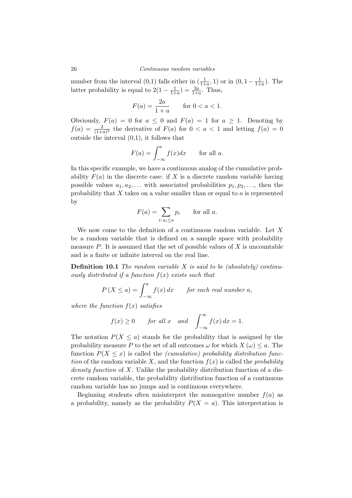number from the interval (0,1) falls either in  $(\frac{1}{1+a}, 1)$  or in  $(0, 1-\frac{1}{1+a})$  $\frac{1}{1+a}$ ). The latter probability is equal to  $2(1 - \frac{1}{1+1})$  $\frac{1}{1+a}$ ) =  $\frac{2a}{1+a}$ . Thus,

$$
F(a) = \frac{2a}{1+a} \quad \text{for } 0 < a < 1.
$$

Obviously,  $F(a) = 0$  for  $a \le 0$  and  $F(a) = 1$  for  $a \ge 1$ . Denoting by  $f(a) = \frac{2}{(1+a)^2}$  the derivative of  $F(a)$  for  $0 < a < 1$  and letting  $f(a) = 0$ outside the interval  $(0,1)$ , it follows that

$$
F(a) = \int_{-\infty}^{a} f(x)dx \quad \text{for all } a.
$$

In this specific example, we have a continuous analog of the cumulative probability  $F(a)$  in the discrete case: if X is a discrete random variable having possible values  $a_1, a_2, \ldots$  with associated probabilities  $p_1, p_2, \ldots$ , then the probability that  $X$  takes on a value smaller than or equal to  $a$  is represented by

$$
F(a) = \sum_{i: a_i \le a} p_i \quad \text{for all } a.
$$

We now come to the definition of a continuous random variable. Let X be a random variable that is defined on a sample space with probability measure  $P$ . It is assumed that the set of possible values of  $X$  is uncountable and is a finite or infinite interval on the real line.

**Definition 10.1** The random variable X is said to be (absolutely) continuously distributed if a function  $f(x)$  exists such that

$$
P(X \le a) = \int_{-\infty}^{a} f(x) dx \quad \text{for each real number } a,
$$

where the function  $f(x)$  satisfies

$$
f(x) \ge 0
$$
 for all x and  $\int_{-\infty}^{\infty} f(x) dx = 1$ .

The notation  $P(X \le a)$  stands for the probability that is assigned by the probability measure P to the set of all outcomes  $\omega$  for which  $X(\omega) \leq a$ . The function  $P(X \leq x)$  is called the *(cumulative) probability distribution func*tion of the random variable X, and the function  $f(x)$  is called the probability density function of X. Unlike the probability distribution function of a discrete random variable, the probability distribution function of a continuous random variable has no jumps and is continuous everywhere.

Beginning students often misinterpret the nonnegative number  $f(a)$  as a probability, namely as the probability  $P(X = a)$ . This interpretation is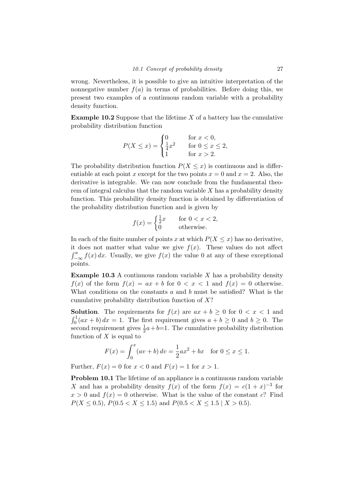wrong. Nevertheless, it is possible to give an intuitive interpretation of the nonnegative number  $f(a)$  in terms of probabilities. Before doing this, we present two examples of a continuous random variable with a probability density function.

**Example 10.2** Suppose that the lifetime  $X$  of a battery has the cumulative probability distribution function

$$
P(X \le x) = \begin{cases} 0 & \text{for } x < 0, \\ \frac{1}{4}x^2 & \text{for } 0 \le x \le 2, \\ 1 & \text{for } x > 2. \end{cases}
$$

The probability distribution function  $P(X \leq x)$  is continuous and is differentiable at each point x except for the two points  $x = 0$  and  $x = 2$ . Also, the derivative is integrable. We can now conclude from the fundamental theorem of integral calculus that the random variable  $X$  has a probability density function. This probability density function is obtained by differentiation of the probability distribution function and is given by

$$
f(x) = \begin{cases} \frac{1}{2}x & \text{for } 0 < x < 2, \\ 0 & \text{otherwise.} \end{cases}
$$

In each of the finite number of points x at which  $P(X \leq x)$  has no derivative, it does not matter what value we give  $f(x)$ . These values do not affect  $f^a$ ,  $f(x) dx$ , Herelly we give  $f(x)$  the subset of the seconding l  $\int_{-\infty}^{a} f(x) dx$ . Usually, we give  $f(x)$  the value 0 at any of these exceptional points.

**Example 10.3** A continuous random variable  $X$  has a probability density  $f(x)$  of the form  $f(x) = ax + b$  for  $0 < x < 1$  and  $f(x) = 0$  otherwise. What conditions on the constants  $a$  and  $b$  must be satisfied? What is the cumulative probability distribution function of  $X$ ?

**Solution.** The requirements for  $f(x)$  are  $ax + b \ge 0$  for  $0 < x < 1$  and  $f(x)$  is the set of the first position on the set of  $x > 0$  and  $b > 0$ . Then  $0<sup>1</sup>(ax + b) dx = 1$ . The first requirement gives  $a + b \ge 0$  and  $b \ge 0$ . The second requirement gives  $\frac{1}{2}a+b=1$ . The cumulative probability distribution function of  $X$  is equal to

$$
F(x) = \int_0^x (av + b) dv = \frac{1}{2}ax^2 + bx \text{ for } 0 \le x \le 1.
$$

Further,  $F(x) = 0$  for  $x < 0$  and  $F(x) = 1$  for  $x > 1$ .

Problem 10.1 The lifetime of an appliance is a continuous random variable X and has a probability density  $f(x)$  of the form  $f(x) = c(1+x)^{-3}$  for  $x > 0$  and  $f(x) = 0$  otherwise. What is the value of the constant c? Find  $P(X \le 0.5)$ ,  $P(0.5 < X \le 1.5)$  and  $P(0.5 < X \le 1.5 \mid X > 0.5)$ .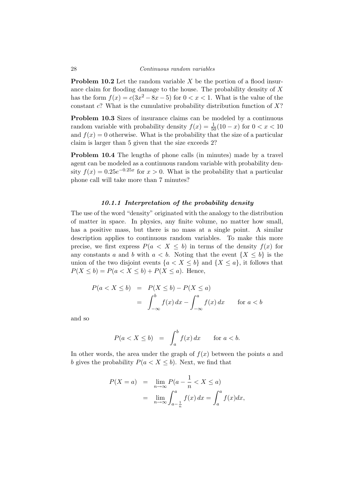### 28 Continuous random variables

**Problem 10.2** Let the random variable  $X$  be the portion of a flood insurance claim for flooding damage to the house. The probability density of X has the form  $f(x) = c(3x^2 - 8x - 5)$  for  $0 < x < 1$ . What is the value of the constant  $c$ ? What is the cumulative probability distribution function of  $X$ ?

Problem 10.3 Sizes of insurance claims can be modeled by a continuous random variable with probability density  $f(x) = \frac{1}{50}(10 - x)$  for  $0 < x < 10$ and  $f(x) = 0$  otherwise. What is the probability that the size of a particular claim is larger than 5 given that the size exceeds 2?

Problem 10.4 The lengths of phone calls (in minutes) made by a travel agent can be modeled as a continuous random variable with probability density  $f(x) = 0.25e^{-0.25x}$  for  $x > 0$ . What is the probability that a particular phone call will take more than 7 minutes?

### 10.1.1 Interpretation of the probability density

The use of the word "density" originated with the analogy to the distribution of matter in space. In physics, any finite volume, no matter how small, has a positive mass, but there is no mass at a single point. A similar description applies to continuous random variables. To make this more precise, we first express  $P(a \leq X \leq b)$  in terms of the density  $f(x)$  for any constants a and b with  $a < b$ . Noting that the event  $\{X \leq b\}$  is the union of the two disjoint events  $\{a < X \leq b\}$  and  $\{X \leq a\}$ , it follows that  $P(X \le b) = P(a < X \le b) + P(X \le a)$ . Hence,

$$
P(a < X \le b) = P(X \le b) - P(X \le a)
$$
\n
$$
= \int_{-\infty}^{b} f(x) \, dx - \int_{-\infty}^{a} f(x) \, dx \qquad \text{for } a < b
$$

and so

$$
P(a < X \le b) = \int_a^b f(x) \, dx \quad \text{for } a < b.
$$

In other words, the area under the graph of  $f(x)$  between the points a and b gives the probability  $P(a < X \leq b)$ . Next, we find that

$$
P(X = a) = \lim_{n \to \infty} P(a - \frac{1}{n} < X \le a)
$$
\n
$$
= \lim_{n \to \infty} \int_{a - \frac{1}{n}}^{a} f(x) \, dx = \int_{a}^{a} f(x) \, dx,
$$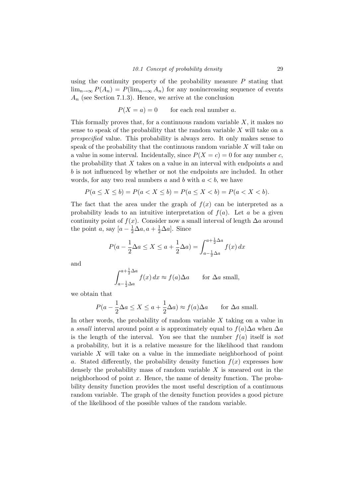using the continuity property of the probability measure  $P$  stating that  $\lim_{n\to\infty} P(A_n) = P(\lim_{n\to\infty} A_n)$  for any nonincreasing sequence of events  $A_n$  (see Section 7.1.3). Hence, we arrive at the conclusion

$$
P(X = a) = 0
$$
 for each real number a.

This formally proves that, for a continuous random variable  $X$ , it makes no sense to speak of the probability that the random variable  $X$  will take on a prespecified value. This probability is always zero. It only makes sense to speak of the probability that the continuous random variable  $X$  will take on a value in some interval. Incidentally, since  $P(X = c) = 0$  for any number c, the probability that  $X$  takes on a value in an interval with endpoints  $a$  and b is not influenced by whether or not the endpoints are included. In other words, for any two real numbers a and b with  $a < b$ , we have

$$
P(a \le X \le b) = P(a < X \le b) = P(a \le X < b) = P(a < X < b).
$$

The fact that the area under the graph of  $f(x)$  can be interpreted as a probability leads to an intuitive interpretation of  $f(a)$ . Let a be a given continuity point of  $f(x)$ . Consider now a small interval of length  $\Delta a$  around the point a, say  $[a - \frac{1}{2}\Delta a, a + \frac{1}{2}\Delta a]$ . Since

$$
P(a - \frac{1}{2}\Delta a \le X \le a + \frac{1}{2}\Delta a) = \int_{a - \frac{1}{2}\Delta a}^{a + \frac{1}{2}\Delta a} f(x) dx
$$

and

$$
\int_{a-\frac{1}{2}\Delta a}^{a+\frac{1}{2}\Delta a} f(x) dx \approx f(a)\Delta a \quad \text{for } \Delta a \text{ small,}
$$

we obtain that

$$
P(a - \frac{1}{2}\Delta a \le X \le a + \frac{1}{2}\Delta a) \approx f(a)\Delta a \quad \text{for } \Delta a \text{ small.}
$$

In other words, the probability of random variable  $X$  taking on a value in a small interval around point a is approximately equal to  $f(a)\Delta a$  when  $\Delta a$ is the length of the interval. You see that the number  $f(a)$  itself is not a probability, but it is a relative measure for the likelihood that random variable X will take on a value in the immediate neighborhood of point a. Stated differently, the probability density function  $f(x)$  expresses how densely the probability mass of random variable  $X$  is smeared out in the neighborhood of point  $x$ . Hence, the name of density function. The probability density function provides the most useful description of a continuous random variable. The graph of the density function provides a good picture of the likelihood of the possible values of the random variable.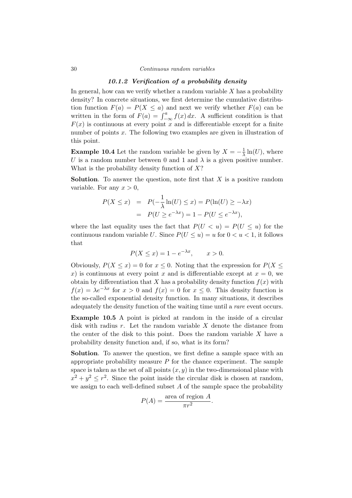### 30 Continuous random variables

### 10.1.2 Verification of a probability density

In general, how can we verify whether a random variable  $X$  has a probability density? In concrete situations, we first determine the cumulative distribution function  $F(a) = P(X \le a)$  and next we verify whether  $F(a)$  can be written in the form of  $F(a) = \int_{-\infty}^{a} f(x) dx$ . A sufficient condition is that  $F(x)$  is continuous at every point x and is differentiable except for a finite number of points x. The following two examples are given in illustration of this point.

**Example 10.4** Let the random variable be given by  $X = -\frac{1}{\lambda}$  $\frac{1}{\lambda} \ln(U)$ , where U is a random number between 0 and 1 and  $\lambda$  is a given positive number. What is the probability density function of  $X$ ?

**Solution.** To answer the question, note first that  $X$  is a positive random variable. For any  $x > 0$ ,

$$
P(X \le x) = P(-\frac{1}{\lambda}\ln(U) \le x) = P(\ln(U) \ge -\lambda x)
$$
  
= 
$$
P(U \ge e^{-\lambda x}) = 1 - P(U \le e^{-\lambda x}),
$$

where the last equality uses the fact that  $P(U < u) = P(U \leq u)$  for the continuous random variable U. Since  $P(U \le u) = u$  for  $0 < u < 1$ , it follows that

$$
P(X \le x) = 1 - e^{-\lambda x}, \qquad x > 0.
$$

Obviously,  $P(X \leq x) = 0$  for  $x \leq 0$ . Noting that the expression for  $P(X \leq$ x) is continuous at every point x and is differentiable except at  $x = 0$ , we obtain by differentiation that X has a probability density function  $f(x)$  with  $f(x) = \lambda e^{-\lambda x}$  for  $x > 0$  and  $f(x) = 0$  for  $x \le 0$ . This density function is the so-called exponential density function. In many situations, it describes adequately the density function of the waiting time until a rare event occurs.

Example 10.5 A point is picked at random in the inside of a circular disk with radius  $r$ . Let the random variable  $X$  denote the distance from the center of the disk to this point. Does the random variable  $X$  have a probability density function and, if so, what is its form?

Solution. To answer the question, we first define a sample space with an appropriate probability measure  $P$  for the chance experiment. The sample space is taken as the set of all points  $(x, y)$  in the two-dimensional plane with  $x^2 + y^2 \leq r^2$ . Since the point inside the circular disk is chosen at random, we assign to each well-defined subset  $A$  of the sample space the probability

$$
P(A) = \frac{\text{area of region } A}{\pi r^2}.
$$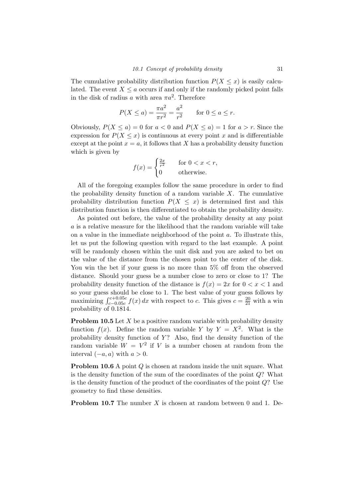The cumulative probability distribution function  $P(X \leq x)$  is easily calculated. The event  $X \le a$  occurs if and only if the randomly picked point falls in the disk of radius a with area  $\pi a^2$ . Therefore

$$
P(X \le a) = \frac{\pi a^2}{\pi r^2} = \frac{a^2}{r^2}
$$
 for  $0 \le a \le r$ .

Obviously,  $P(X \le a) = 0$  for  $a < 0$  and  $P(X \le a) = 1$  for  $a > r$ . Since the expression for  $P(X \leq x)$  is continuous at every point x and is differentiable except at the point  $x = a$ , it follows that X has a probability density function which is given by

$$
f(x) = \begin{cases} \frac{2x}{r^2} & \text{for } 0 < x < r, \\ 0 & \text{otherwise.} \end{cases}
$$

All of the foregoing examples follow the same procedure in order to find the probability density function of a random variable  $X$ . The cumulative probability distribution function  $P(X \leq x)$  is determined first and this distribution function is then differentiated to obtain the probability density.

As pointed out before, the value of the probability density at any point a is a relative measure for the likelihood that the random variable will take on a value in the immediate neighborhood of the point a. To illustrate this, let us put the following question with regard to the last example. A point will be randomly chosen within the unit disk and you are asked to bet on the value of the distance from the chosen point to the center of the disk. You win the bet if your guess is no more than 5% off from the observed distance. Should your guess be a number close to zero or close to 1? The probability density function of the distance is  $f(x) = 2x$  for  $0 < x < 1$  and so your guess should be close to 1. The best value of your guess follows by so your guess should be close to 1. The best value of your guess follows by<br>maximizing  $\int_{c-0.05c}^{c+0.05c} f(x) dx$  with respect to c. This gives  $c = \frac{20}{21}$  with a win probability of 0.1814.

**Problem 10.5** Let  $X$  be a positive random variable with probability density function  $f(x)$ . Define the random variable Y by  $Y = X^2$ . What is the probability density function of  $Y$ ? Also, find the density function of the random variable  $W = V^2$  if V is a number chosen at random from the interval  $(-a, a)$  with  $a > 0$ .

Problem 10.6 A point Q is chosen at random inside the unit square. What is the density function of the sum of the coordinates of the point  $Q$ ? What is the density function of the product of the coordinates of the point Q? Use geometry to find these densities.

Problem 10.7 The number X is chosen at random between 0 and 1. De-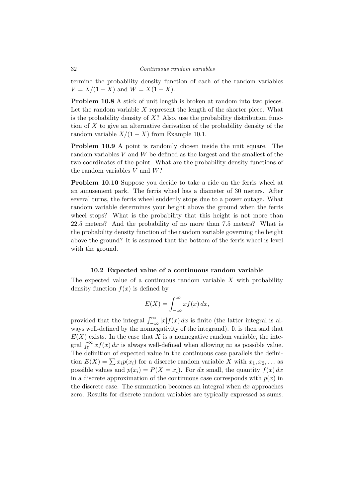termine the probability density function of each of the random variables  $V = X/(1 - X)$  and  $W = X(1 - X)$ .

Problem 10.8 A stick of unit length is broken at random into two pieces. Let the random variable  $X$  represent the length of the shorter piece. What is the probability density of  $X$ ? Also, use the probability distribution function of  $X$  to give an alternative derivation of the probability density of the random variable  $X/(1 - X)$  from Example 10.1.

Problem 10.9 A point is randomly chosen inside the unit square. The random variables V and W be defined as the largest and the smallest of the two coordinates of the point. What are the probability density functions of the random variables  $V$  and  $W$ ?

Problem 10.10 Suppose you decide to take a ride on the ferris wheel at an amusement park. The ferris wheel has a diameter of 30 meters. After several turns, the ferris wheel suddenly stops due to a power outage. What random variable determines your height above the ground when the ferris wheel stops? What is the probability that this height is not more than 22.5 meters? And the probability of no more than 7.5 meters? What is the probability density function of the random variable governing the height above the ground? It is assumed that the bottom of the ferris wheel is level with the ground.

### 10.2 Expected value of a continuous random variable

The expected value of a continuous random variable  $X$  with probability density function  $f(x)$  is defined by

$$
E(X) = \int_{-\infty}^{\infty} x f(x) \, dx,
$$

provided that the integral  $\int_{-\infty}^{\infty} |x| f(x) dx$  is finite (the latter integral is always well-defined by the nonnegativity of the integrand). It is then said that  $E(X)$  exists. In the case that X is a nonnegative random variable, the inte- $E(X)$  exists. In the case that X is a homeogral vertailed variable, the integral  $\int_0^\infty x f(x) dx$  is always well-defined when allowing  $\infty$  as possible value. The definition of expected value in the continuous case parallels the definition  $E(X) = \sum x_i p(x_i)$  for a discrete random variable X with  $x_1, x_2, \ldots$  as possible values and  $p(x_i) = P(X = x_i)$ . For dx small, the quantity  $f(x) dx$ in a discrete approximation of the continuous case corresponds with  $p(x)$  in the discrete case. The summation becomes an integral when  $dx$  approaches zero. Results for discrete random variables are typically expressed as sums.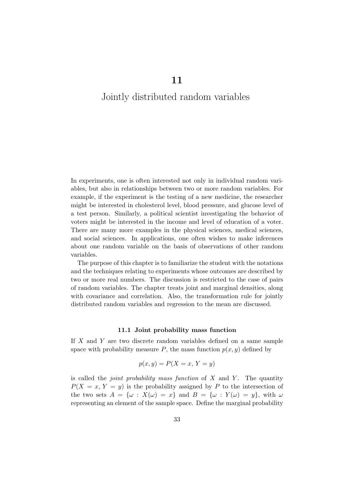### Jointly distributed random variables

In experiments, one is often interested not only in individual random variables, but also in relationships between two or more random variables. For example, if the experiment is the testing of a new medicine, the researcher might be interested in cholesterol level, blood pressure, and glucose level of a test person. Similarly, a political scientist investigating the behavior of voters might be interested in the income and level of education of a voter. There are many more examples in the physical sciences, medical sciences, and social sciences. In applications, one often wishes to make inferences about one random variable on the basis of observations of other random variables.

The purpose of this chapter is to familiarize the student with the notations and the techniques relating to experiments whose outcomes are described by two or more real numbers. The discussion is restricted to the case of pairs of random variables. The chapter treats joint and marginal densities, along with covariance and correlation. Also, the transformation rule for jointly distributed random variables and regression to the mean are discussed.

#### 11.1 Joint probability mass function

If X and Y are two discrete random variables defined on a same sample space with probability measure P, the mass function  $p(x, y)$  defined by

$$
p(x, y) = P(X = x, Y = y)
$$

is called the *joint probability mass function* of  $X$  and  $Y$ . The quantity  $P(X = x, Y = y)$  is the probability assigned by P to the intersection of the two sets  $A = {\omega : X(\omega) = x}$  and  $B = {\omega : Y(\omega) = y}$ , with  $\omega$ representing an element of the sample space. Define the marginal probability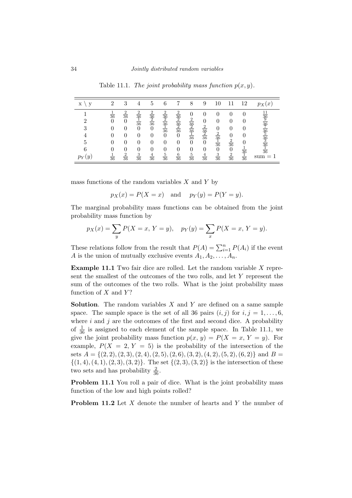| $\mathbf X$<br>$\mathbf{V}$                 | $\overline{2}$                        | 3                                                                         |                                                         | 5                                                                         | 6                                                                              |                                                                                               | 8                                                                                            | 9                                                                       | 10                                                                |                                                                                         | 12                                             | $p_X(x)$                                                                                                  |
|---------------------------------------------|---------------------------------------|---------------------------------------------------------------------------|---------------------------------------------------------|---------------------------------------------------------------------------|--------------------------------------------------------------------------------|-----------------------------------------------------------------------------------------------|----------------------------------------------------------------------------------------------|-------------------------------------------------------------------------|-------------------------------------------------------------------|-----------------------------------------------------------------------------------------|------------------------------------------------|-----------------------------------------------------------------------------------------------------------|
| റ<br>3<br>5<br>6<br>$\overline{y}$<br>$p_Y$ | $\frac{1}{36}$<br>0<br>$\frac{1}{36}$ | $\frac{2}{36}$<br>$\theta$<br>$\theta$<br>0<br>$\theta$<br>$\frac{2}{36}$ | $\frac{2}{36}$<br>$\frac{1}{36}$<br>0<br>$\frac{3}{36}$ | $\frac{2}{36}$ $\frac{2}{36}$ $0$<br>$\theta$<br>0<br>0<br>$\frac{4}{36}$ | $\frac{2}{36}$<br>$\frac{3}{36}$<br>$\frac{1}{36}$<br>0<br>0<br>$\frac{5}{36}$ | $\frac{2}{36}$<br>$\frac{2}{36}$<br>$\frac{2}{36}$<br>$\boldsymbol{0}$<br>0<br>$\frac{6}{36}$ | 0<br>$rac{2}{36}$<br>$rac{2}{36}$<br>$\frac{1}{36}$<br>$\overline{0}$<br>0<br>$\frac{5}{36}$ | $\boldsymbol{0}$<br>$\frac{2}{36}$ $\frac{2}{36}$ $0$<br>$\frac{4}{36}$ | 0<br>0<br>$\frac{2}{36}$<br>$\frac{1}{36}$<br>0<br>$\frac{3}{36}$ | $\theta$<br>0<br>$\boldsymbol{0}$<br>$\frac{2}{36}$<br>$\overline{0}$<br>$\frac{2}{36}$ | 0<br>0<br>0<br>$\overline{36}$<br>$rac{1}{36}$ | $\frac{11}{36}$ $\frac{36}{36} - \frac{36}{36}$ $\frac{36}{36} - \frac{36}{36}$ $\frac{1}{36}$<br>$sum =$ |

Table 11.1. The joint probability mass function  $p(x, y)$ .

mass functions of the random variables  $X$  and  $Y$  by

$$
p_X(x) = P(X = x) \quad \text{and} \quad p_Y(y) = P(Y = y).
$$

The marginal probability mass functions can be obtained from the joint probability mass function by

$$
p_X(x) = \sum_y P(X = x, Y = y), \quad p_Y(y) = \sum_x P(X = x, Y = y).
$$

These relations follow from the result that  $P(A) = \sum_{i=1}^{n} P(A_i)$  if the event A is the union of mutually exclusive events  $A_1, A_2, \ldots, A_n$ .

**Example 11.1** Two fair dice are rolled. Let the random variable  $X$  represent the smallest of the outcomes of the two rolls, and let Y represent the sum of the outcomes of the two rolls. What is the joint probability mass function of  $X$  and  $Y$ ?

**Solution.** The random variables  $X$  and  $Y$  are defined on a same sample space. The sample space is the set of all 36 pairs  $(i, j)$  for  $i, j = 1, \ldots, 6$ , where  $i$  and  $j$  are the outcomes of the first and second dice. A probability of  $\frac{1}{36}$  is assigned to each element of the sample space. In Table 11.1, we give the joint probability mass function  $p(x, y) = P(X = x, Y = y)$ . For example,  $P(X = 2, Y = 5)$  is the probability of the intersection of the sets  $A = \{(2, 2), (2, 3), (2, 4), (2, 5), (2, 6), (3, 2), (4, 2), (5, 2), (6, 2)\}\$ and  $B =$  $\{(1,4), (4,1), (2,3), (3,2)\}.$  The set  $\{(2,3), (3,2)\}$  is the intersection of these two sets and has probability  $\frac{2}{36}$ .

**Problem 11.1** You roll a pair of dice. What is the joint probability mass function of the low and high points rolled?

Problem 11.2 Let X denote the number of hearts and Y the number of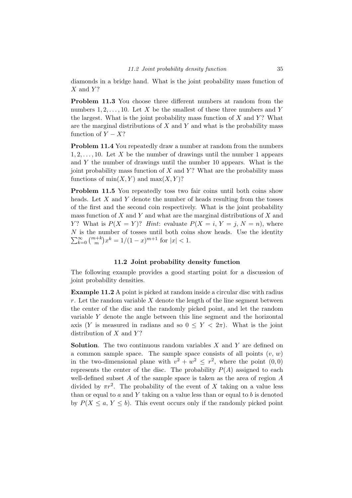diamonds in a bridge hand. What is the joint probability mass function of  $X$  and  $Y$ ?

Problem 11.3 You choose three different numbers at random from the numbers  $1, 2, \ldots, 10$ . Let X be the smallest of these three numbers and Y the largest. What is the joint probability mass function of  $X$  and  $Y$ ? What are the marginal distributions of  $X$  and  $Y$  and what is the probability mass function of  $Y - X$ ?

Problem 11.4 You repeatedly draw a number at random from the numbers  $1, 2, \ldots, 10$ . Let X be the number of drawings until the number 1 appears and Y the number of drawings until the number 10 appears. What is the joint probability mass function of  $X$  and  $Y$ ? What are the probability mass functions of  $min(X, Y)$  and  $max(X, Y)$ ?

Problem 11.5 You repeatedly toss two fair coins until both coins show heads. Let  $X$  and  $Y$  denote the number of heads resulting from the tosses of the first and the second coin respectively. What is the joint probability mass function of  $X$  and  $Y$  and what are the marginal distributions of  $X$  and Y? What is  $P(X = Y)$ ? Hint: evaluate  $P(X = i, Y = j, N = n)$ , where  $N$  is the number of tosses until both coins show heads. Use the identity  $\sum_{k=0}^{\infty} \binom{m+k}{m}$ u<br>\  $x^k = 1/(1-x)^{m+1}$  for  $|x| < 1$ .

### 11.2 Joint probability density function

The following example provides a good starting point for a discussion of joint probability densities.

Example 11.2 A point is picked at random inside a circular disc with radius  $r$ . Let the random variable  $X$  denote the length of the line segment between the center of the disc and the randomly picked point, and let the random variable Y denote the angle between this line segment and the horizontal axis (Y is measured in radians and so  $0 \le Y < 2\pi$ ). What is the joint distribution of  $X$  and  $Y$ ?

**Solution.** The two continuous random variables  $X$  and  $Y$  are defined on a common sample space. The sample space consists of all points  $(v, w)$ in the two-dimensional plane with  $v^2 + w^2 \leq r^2$ , where the point  $(0,0)$ represents the center of the disc. The probability  $P(A)$  assigned to each well-defined subset A of the sample space is taken as the area of region A divided by  $\pi r^2$ . The probability of the event of X taking on a value less than or equal to a and Y taking on a value less than or equal to b is denoted by  $P(X \le a, Y \le b)$ . This event occurs only if the randomly picked point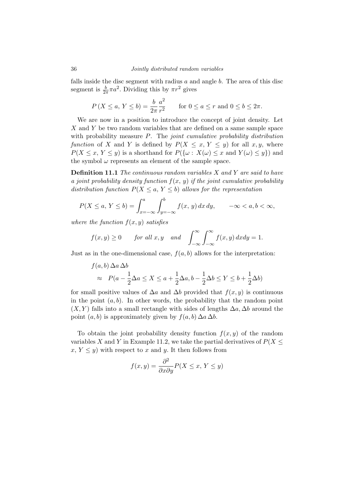falls inside the disc segment with radius  $a$  and angle  $b$ . The area of this disc segment is  $\frac{b}{2\pi}\pi a^2$ . Dividing this by  $\pi r^2$  gives

$$
P(X \le a, Y \le b) = \frac{b}{2\pi} \frac{a^2}{r^2}
$$
 for  $0 \le a \le r$  and  $0 \le b \le 2\pi$ .

We are now in a position to introduce the concept of joint density. Let X and Y be two random variables that are defined on a same sample space with probability measure P. The joint cumulative probability distribution function of X and Y is defined by  $P(X \leq x, Y \leq y)$  for all  $x, y$ , where  $P(X \leq x, Y \leq y)$  is a shorthand for  $P({\omega : X(\omega) \leq x \text{ and } Y(\omega) \leq y})$  and the symbol  $\omega$  represents an element of the sample space.

Definition 11.1 The continuous random variables X and Y are said to have a joint probability density function  $f(x, y)$  if the joint cumulative probability distribution function  $P(X \le a, Y \le b)$  allows for the representation

$$
P(X \le a, Y \le b) = \int_{x=-\infty}^{a} \int_{y=-\infty}^{b} f(x, y) dx dy, \qquad -\infty < a, b < \infty,
$$

where the function  $f(x, y)$  satisfies

$$
f(x,y) \ge 0
$$
 for all x, y and  $\int_{-\infty}^{\infty} \int_{-\infty}^{\infty} f(x,y) dx dy = 1$ .

Just as in the one-dimensional case,  $f(a, b)$  allows for the interpretation:

$$
f(a, b) \Delta a \Delta b
$$
  
\n
$$
\approx P(a - \frac{1}{2}\Delta a \le X \le a + \frac{1}{2}\Delta a, b - \frac{1}{2}\Delta b \le Y \le b + \frac{1}{2}\Delta b)
$$

for small positive values of  $\Delta a$  and  $\Delta b$  provided that  $f(x, y)$  is continuous in the point  $(a, b)$ . In other words, the probability that the random point  $(X, Y)$  falls into a small rectangle with sides of lengths  $\Delta a, \Delta b$  around the point  $(a, b)$  is approximately given by  $f(a, b) \Delta a \Delta b$ .

To obtain the joint probability density function  $f(x, y)$  of the random variables X and Y in Example 11.2, we take the partial derivatives of  $P(X \leq$  $x, Y \leq y$ ) with respect to x and y. It then follows from

$$
f(x,y) = \frac{\partial^2}{\partial x \partial y} P(X \le x, Y \le y)
$$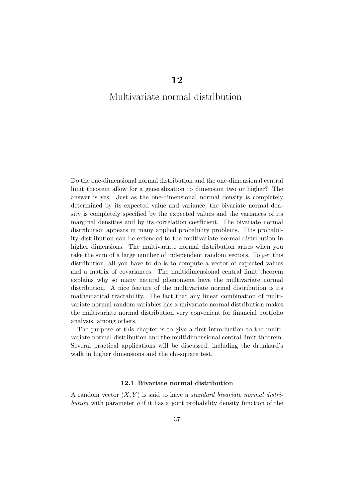### 12

### Multivariate normal distribution

Do the one-dimensional normal distribution and the one-dimensional central limit theorem allow for a generalization to dimension two or higher? The answer is yes. Just as the one-dimensional normal density is completely determined by its expected value and variance, the bivariate normal density is completely specified by the expected values and the variances of its marginal densities and by its correlation coefficient. The bivariate normal distribution appears in many applied probability problems. This probability distribution can be extended to the multivariate normal distribution in higher dimensions. The multivariate normal distribution arises when you take the sum of a large number of independent random vectors. To get this distribution, all you have to do is to compute a vector of expected values and a matrix of covariances. The multidimensional central limit theorem explains why so many natural phenomena have the multivariate normal distribution. A nice feature of the multivariate normal distribution is its mathematical tractability. The fact that any linear combination of multivariate normal random variables has a univariate normal distribution makes the multivariate normal distribution very convenient for financial portfolio analysis, among others.

The purpose of this chapter is to give a first introduction to the multivariate normal distribution and the multidimensional central limit theorem. Several practical applications will be discussed, including the drunkard's walk in higher dimensions and the chi-square test.

### 12.1 Bivariate normal distribution

A random vector  $(X, Y)$  is said to have a *standard bivariate normal distri*bution with parameter  $\rho$  if it has a joint probability density function of the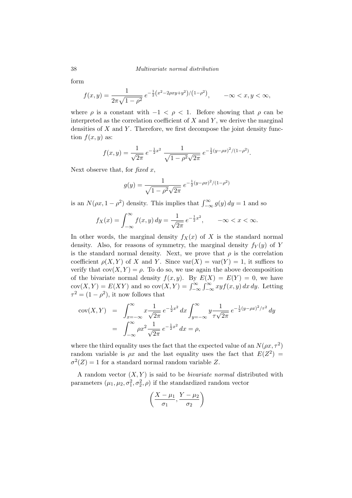form

$$
f(x,y) = \frac{1}{2\pi\sqrt{1-\rho^2}} e^{-\frac{1}{2}(x^2 - 2\rho xy + y^2)/(1-\rho^2)}, \qquad -\infty < x, y < \infty,
$$

where  $\rho$  is a constant with  $-1 < \rho < 1$ . Before showing that  $\rho$  can be interpreted as the correlation coefficient of  $X$  and  $Y$ , we derive the marginal densities of  $X$  and  $Y$ . Therefore, we first decompose the joint density function  $f(x, y)$  as:

$$
f(x,y) = \frac{1}{\sqrt{2\pi}} e^{-\frac{1}{2}x^2} \frac{1}{\sqrt{1-\rho^2}\sqrt{2\pi}} e^{-\frac{1}{2}(y-\rho x)^2/(1-\rho^2)}.
$$

Next observe that, for fixed  $x$ ,

$$
g(y) = \frac{1}{\sqrt{1 - \rho^2} \sqrt{2\pi}} e^{-\frac{1}{2}(y - \rho x)^2/(1 - \rho^2)}
$$

is an  $N(\rho x, 1 - \rho^2)$  density. This implies that  $\int_{-\infty}^{\infty} g(y) dy = 1$  and so

$$
f_X(x) = \int_{-\infty}^{\infty} f(x, y) dy = \frac{1}{\sqrt{2\pi}} e^{-\frac{1}{2}x^2}, \quad -\infty < x < \infty.
$$

In other words, the marginal density  $f_X(x)$  of X is the standard normal density. Also, for reasons of symmetry, the marginal density  $f_Y(y)$  of Y is the standard normal density. Next, we prove that  $\rho$  is the correlation coefficient  $\rho(X, Y)$  of X and Y. Since  $var(X) = var(Y) = 1$ , it suffices to verify that  $cov(X, Y) = \rho$ . To do so, we use again the above decomposition of the bivariate normal density  $f(x, y)$ . By  $E(X) = E(Y) = 0$ , we have  $cov(X, Y) = E(XY)$  and so  $cov(X, Y) = \int_{-\infty}^{\infty} \int_{-\infty}^{\infty} xy f(x, y) dx dy$ . Letting ar (∡<br>∞ ∩  $\int_{-\infty}^{\infty} xy f(x, y) dx dy$ . Letting  $\tau^2 = (1 - \rho^2)$ , it now follows that

$$
\begin{array}{rcl}\n\text{cov}(X,Y) & = & \int_{x=-\infty}^{\infty} x \frac{1}{\sqrt{2\pi}} \, e^{-\frac{1}{2}x^2} \, dx \int_{y=-\infty}^{\infty} y \frac{1}{\tau \sqrt{2\pi}} \, e^{-\frac{1}{2}(y-\rho x)^2/\tau^2} \, dy \\
& = & \int_{-\infty}^{\infty} \rho x^2 \frac{1}{\sqrt{2\pi}} \, e^{-\frac{1}{2}x^2} \, dx = \rho,\n\end{array}
$$

where the third equality uses the fact that the expected value of an  $N(\rho x, \tau^2)$ random variable is  $\rho x$  and the last equality uses the fact that  $E(Z^2) =$  $\sigma^2(Z) = 1$  for a standard normal random variable Z.

A random vector  $(X, Y)$  is said to be *bivariate normal* distributed with parameters  $(\mu_1, \mu_2, \sigma_1^2, \sigma_2^2, \rho)$  if the standardized random vector

$$
\left(\frac{X-\mu_1}{\sigma_1}, \frac{Y-\mu_2}{\sigma_2}\right)
$$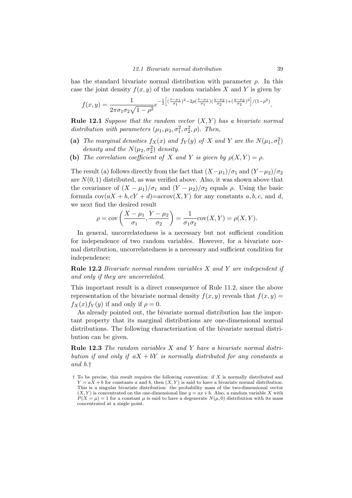has the standard bivariate normal distribution with parameter  $\rho$ . In this case the joint density  $f(x, y)$  of the random variables X and Y is given by

$$
f(x,y) = \frac{1}{2\pi\sigma_1\sigma_2\sqrt{1-\rho^2}}e^{-\frac{1}{2}\left[ (\frac{x-\mu_1}{\sigma_1})^2 - 2\rho(\frac{x-\mu_1}{\sigma_1})(\frac{y-\mu_2}{\sigma_2}) + (\frac{y-\mu_2}{\sigma_2})^2\right]/(1-\rho^2)}
$$

**Rule 12.1** Suppose that the random vector  $(X, Y)$  has a bivariate normal distribution with parameters  $(\mu_1, \mu_2, \sigma_1^2, \sigma_2^2, \rho)$ . Then,

- (a) The marginal densities  $f_X(x)$  and  $f_Y(y)$  of X and Y are the  $N(\mu_1, \sigma_1^2)$ density and the  $N(\mu_2, \sigma_2^2)$  density.
- (b) The correlation coefficient of X and Y is given by  $\rho(X, Y) = \rho$ .

The result (a) follows directly from the fact that  $(X-\mu_1)/\sigma_1$  and  $(Y-\mu_2)/\sigma_2$ are  $N(0, 1)$  distributed, as was verified above. Also, it was shown above that the covariance of  $(X - \mu_1)/\sigma_1$  and  $(Y - \mu_2)/\sigma_2$  equals  $\rho$ . Using the basic formula  $cov(aX + b, cY + d) = accov(X, Y)$  for any constants a, b, c, and d, we next find the desired result  $\mathbf{r}$ 

$$
\rho = \text{cov}\left(\frac{X - \mu_1}{\sigma_1}, \frac{Y - \mu_2}{\sigma_2}\right) = \frac{1}{\sigma_1 \sigma_2} \text{cov}(X, Y) = \rho(X, Y).
$$

In general, uncorrelatedness is a necessary but not sufficient condition for independence of two random variables. However, for a bivariate normal distribution, uncorrelatedness is a necessary and sufficient condition for independence:

Rule 12.2 Bivariate normal random variables X and Y are independent if and only if they are uncorrelated.

This important result is a direct consequence of Rule 11.2, since the above representation of the bivariate normal density  $f(x, y)$  reveals that  $f(x, y) =$  $f_X(x) f_Y(y)$  if and only if  $\rho = 0$ .

As already pointed out, the bivariate normal distribution has the important property that its marginal distributions are one-dimensional normal distributions. The following characterization of the bivariate normal distribution can be given.

Rule 12.3 The random variables X and Y have a bivariate normal distribution if and only if  $aX + bY$  is normally distributed for any constants a and b.†

.

 $\dagger$  To be precise, this result requires the following convention: if X is normally distributed and  $Y = aX + b$  for constants a and b, then  $(X, Y)$  is said to have a bivariate normal distribution. This is a singular bivariate distribution: the probability mass of the two-dimensional vector  $(X, Y)$  is concentrated on the one-dimensional line  $y = ax + b$ . Also, a random variable X with  $P(X = \mu) = 1$  for a constant  $\mu$  is said to have a degenerate  $N(\mu, 0)$  distribution with its mass concentrated at a single point.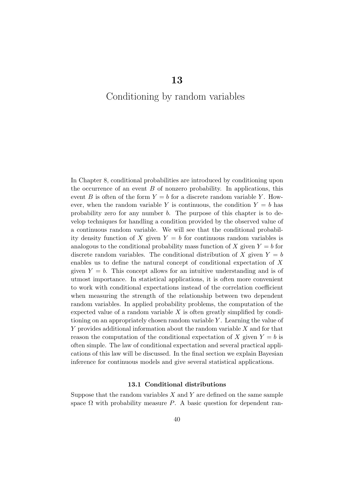### Conditioning by random variables

In Chapter 8, conditional probabilities are introduced by conditioning upon the occurrence of an event  $B$  of nonzero probability. In applications, this event B is often of the form  $Y = b$  for a discrete random variable Y. However, when the random variable Y is continuous, the condition  $Y = b$  has probability zero for any number b. The purpose of this chapter is to develop techniques for handling a condition provided by the observed value of a continuous random variable. We will see that the conditional probability density function of X given  $Y = b$  for continuous random variables is analogous to the conditional probability mass function of X given  $Y = b$  for discrete random variables. The conditional distribution of X given  $Y = b$ enables us to define the natural concept of conditional expectation of X given  $Y = b$ . This concept allows for an intuitive understanding and is of utmost importance. In statistical applications, it is often more convenient to work with conditional expectations instead of the correlation coefficient when measuring the strength of the relationship between two dependent random variables. In applied probability problems, the computation of the expected value of a random variable  $X$  is often greatly simplified by conditioning on an appropriately chosen random variable  $Y$ . Learning the value of  $Y$  provides additional information about the random variable  $X$  and for that reason the computation of the conditional expectation of X given  $Y = b$  is often simple. The law of conditional expectation and several practical applications of this law will be discussed. In the final section we explain Bayesian inference for continuous models and give several statistical applications.

### 13.1 Conditional distributions

Suppose that the random variables  $X$  and  $Y$  are defined on the same sample space  $\Omega$  with probability measure P. A basic question for dependent ran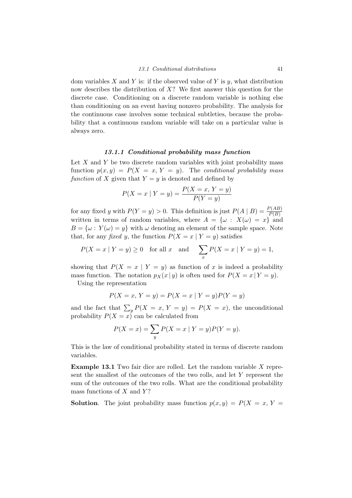dom variables X and Y is: if the observed value of Y is  $y$ , what distribution now describes the distribution of  $X$ ? We first answer this question for the discrete case. Conditioning on a discrete random variable is nothing else than conditioning on an event having nonzero probability. The analysis for the continuous case involves some technical subtleties, because the probability that a continuous random variable will take on a particular value is always zero.

#### 13.1.1 Conditional probability mass function

Let  $X$  and  $Y$  be two discrete random variables with joint probability mass function  $p(x, y) = P(X = x, Y = y)$ . The conditional probability mass function of X given that  $Y = y$  is denoted and defined by

$$
P(X = x | Y = y) = \frac{P(X = x, Y = y)}{P(Y = y)}
$$

for any fixed y with  $P(Y = y) > 0$ . This definition is just  $P(A | B) = \frac{P(AB)}{P(B)}$ written in terms of random variables, where  $A = \{\omega : X(\omega) = x\}$  and  $B = {\omega : Y(\omega) = y}$  with  $\omega$  denoting an element of the sample space. Note that, for any fixed y, the function  $P(X = x | Y = y)$  satisfies

$$
P(X = x | Y = y) \ge 0
$$
 for all x and  $\sum_{x} P(X = x | Y = y) = 1$ ,

showing that  $P(X = x | Y = y)$  as function of x is indeed a probability mass function. The notation  $p_X(x | y)$  is often used for  $P(X = x | Y = y)$ .

Using the representation

$$
P(X = x, Y = y) = P(X = x | Y = y)P(Y = y)
$$

and the fact that  $\sum_{y} P(X = x, Y = y) = P(X = x)$ , the unconditional probability  $P(X = x)$  can be calculated from

$$
P(X = x) = \sum_{y} P(X = x | Y = y)P(Y = y).
$$

This is the law of conditional probability stated in terms of discrete random variables.

**Example 13.1** Two fair dice are rolled. Let the random variable  $X$  represent the smallest of the outcomes of the two rolls, and let Y represent the sum of the outcomes of the two rolls. What are the conditional probability mass functions of  $X$  and  $Y$ ?

**Solution.** The joint probability mass function  $p(x, y) = P(X = x, Y = y)$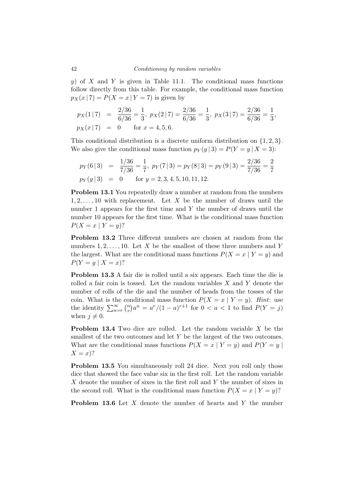y) of X and Y is given in Table 11.1. The conditional mass functions follow directly from this table. For example, the conditional mass function  $p_X(x | 7) = P(X = x | Y = 7)$  is given by

$$
p_X(1 | 7) = \frac{2/36}{6/36} = \frac{1}{3}, p_X(2 | 7) = \frac{2/36}{6/36} = \frac{1}{3}, p_X(3 | 7) = \frac{2/36}{6/36} = \frac{1}{3},
$$
  
\n
$$
p_X(x | 7) = 0 \quad \text{for } x = 4, 5, 6.
$$

This conditional distribution is a discrete uniform distribution on  $\{1, 2, 3\}$ . We also give the conditional mass function  $p_Y(y | 3) = P(Y = y | X = 3)$ :

$$
p_Y(6|3) = \frac{1/36}{7/36} = \frac{1}{7}, \ p_Y(7|3) = p_Y(8|3) = p_Y(9|3) = \frac{2/36}{7/36} = \frac{2}{7}
$$
  

$$
p_Y(y|3) = 0 \quad \text{for } y = 2, 3, 4, 5, 10, 11, 12.
$$

Problem 13.1 You repeatedly draw a number at random from the numbers  $1, 2, \ldots, 10$  with replacement. Let X be the number of draws until the number 1 appears for the first time and  $Y$  the number of draws until the number 10 appears for the first time. What is the conditional mass function  $P(X = x | Y = y)$ ?

Problem 13.2 Three different numbers are chosen at random from the numbers  $1, 2, \ldots, 10$ . Let X be the smallest of these three numbers and Y the largest. What are the conditional mass functions  $P(X = x | Y = y)$  and  $P(Y = y | X = x)$ ?

Problem 13.3 A fair die is rolled until a six appears. Each time the die is rolled a fair coin is tossed. Let the random variables  $X$  and  $Y$  denote the number of rolls of the die and the number of heads from the tosses of the coin. What is the conditional mass function  $P(X = x | Y = y)$ . Hint: use the identity  $\sum_{n=r}^{\infty}$ n  $\int_{r}^{n} a^{n} = a^{r}/(1-a)^{r+1}$  for  $0 < a < 1$  to find  $P(Y = j)$ when  $j \neq 0$ .

**Problem 13.4** Two dice are rolled. Let the random variable  $X$  be the smallest of the two outcomes and let Y be the largest of the two outcomes. What are the conditional mass functions  $P(X = x | Y = y)$  and  $P(Y = y |$  $X = x$ ?

Problem 13.5 You simultaneously roll 24 dice. Next you roll only those dice that showed the face value six in the first roll. Let the random variable X denote the number of sixes in the first roll and Y the number of sixes in the second roll. What is the conditional mass function  $P(X = x | Y = y)$ ?

Problem 13.6 Let X denote the number of hearts and Y the number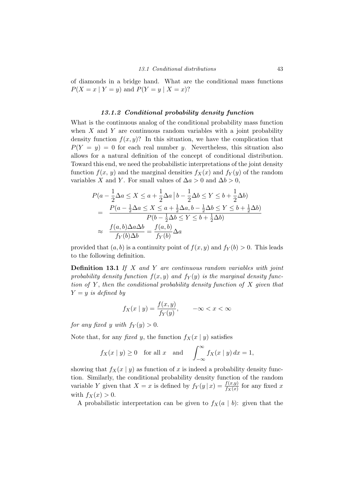of diamonds in a bridge hand. What are the conditional mass functions  $P(X = x | Y = y)$  and  $P(Y = y | X = x)$ ?

### 13.1.2 Conditional probability density function

What is the continuous analog of the conditional probability mass function when  $X$  and  $Y$  are continuous random variables with a joint probability density function  $f(x, y)$ ? In this situation, we have the complication that  $P(Y = y) = 0$  for each real number y. Nevertheless, this situation also allows for a natural definition of the concept of conditional distribution. Toward this end, we need the probabilistic interpretations of the joint density function  $f(x, y)$  and the marginal densities  $f_X(x)$  and  $f_Y(y)$  of the random variables X and Y. For small values of  $\Delta a > 0$  and  $\Delta b > 0$ ,

$$
P(a - \frac{1}{2}\Delta a \le X \le a + \frac{1}{2}\Delta a \mid b - \frac{1}{2}\Delta b \le Y \le b + \frac{1}{2}\Delta b)
$$
  
= 
$$
\frac{P(a - \frac{1}{2}\Delta a \le X \le a + \frac{1}{2}\Delta a, b - \frac{1}{2}\Delta b \le Y \le b + \frac{1}{2}\Delta b)}{P(b - \frac{1}{2}\Delta b \le Y \le b + \frac{1}{2}\Delta b)}
$$
  

$$
\approx \frac{f(a, b)\Delta a \Delta b}{f_Y(b)\Delta b} = \frac{f(a, b)}{f_Y(b)}\Delta a
$$

provided that  $(a, b)$  is a continuity point of  $f(x, y)$  and  $f_Y(b) > 0$ . This leads to the following definition.

**Definition 13.1** If  $X$  and  $Y$  are continuous random variables with joint probability density function  $f(x, y)$  and  $f_Y(y)$  is the marginal density function of  $Y$ , then the conditional probability density function of  $X$  given that  $Y = y$  is defined by

$$
f_X(x \mid y) = \frac{f(x, y)}{f_Y(y)}, \qquad -\infty < x < \infty
$$

for any fixed y with  $f_Y(y) > 0$ .

Note that, for any fixed y, the function  $f_X(x | y)$  satisfies

$$
f_X(x \mid y) \ge 0
$$
 for all x and  $\int_{-\infty}^{\infty} f_X(x \mid y) dx = 1$ ,

showing that  $f_X(x | y)$  as function of x is indeed a probability density function. Similarly, the conditional probability density function of the random variable Y given that  $X = x$  is defined by  $f_Y(y|x) = \frac{f(x,y)}{f_X(x)}$  for any fixed x with  $f_X(x) > 0$ .

A probabilistic interpretation can be given to  $f_X(a | b)$ : given that the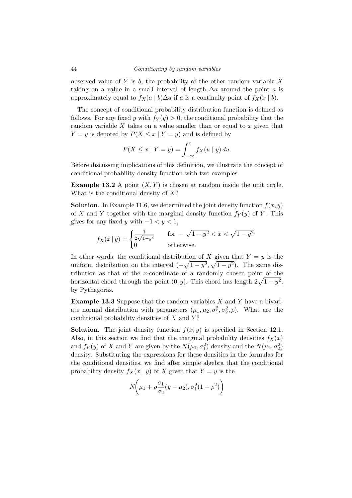observed value of Y is b, the probability of the other random variable  $X$ taking on a value in a small interval of length  $\Delta a$  around the point a is approximately equal to  $f_X(a | b) \Delta a$  if a is a continuity point of  $f_X(x | b)$ .

The concept of conditional probability distribution function is defined as follows. For any fixed y with  $f_Y(y) > 0$ , the conditional probability that the random variable  $X$  takes on a value smaller than or equal to  $x$  given that  $Y = y$  is denoted by  $P(X \leq x | Y = y)$  and is defined by

$$
P(X \le x \mid Y = y) = \int_{-\infty}^{x} f_X(u \mid y) du.
$$

Before discussing implications of this definition, we illustrate the concept of conditional probability density function with two examples.

Example 13.2 A point  $(X, Y)$  is chosen at random inside the unit circle. What is the conditional density of X?

**Solution.** In Example 11.6, we determined the joint density function  $f(x, y)$ of X and Y together with the marginal density function  $f_Y(y)$  of Y. This gives for any fixed y with  $-1 < y < 1$ ,

$$
f_X(x \mid y) = \begin{cases} \frac{1}{2\sqrt{1-y^2}} & \text{for } -\sqrt{1-y^2} < x < \sqrt{1-y^2} \\ 0 & \text{otherwise.} \end{cases}
$$

In other words, the conditional distribution of X given that  $Y = y$  is the uniform distribution on the interval  $(-\sqrt{1-y^2}, \sqrt{1-y^2})$ . The same distribution as that of the x-coordinate of a randomly chosen point of the tribution as that of the x-coordinate of a randomly chosen point of the<br>horizontal chord through the point  $(0, y)$ . This chord has length  $2\sqrt{1-y^2}$ , by Pythagoras.

**Example 13.3** Suppose that the random variables  $X$  and  $Y$  have a bivariate normal distribution with parameters  $(\mu_1, \mu_2, \sigma_1^2, \sigma_2^2, \rho)$ . What are the conditional probability densities of  $X$  and  $Y$ ?

**Solution.** The joint density function  $f(x, y)$  is specified in Section 12.1. Also, in this section we find that the marginal probability densities  $f_X(x)$ and  $f_Y(y)$  of X and Y are given by the  $N(\mu_1, \sigma_1^2)$  density and the  $N(\mu_2, \sigma_2^2)$ density. Substituting the expressions for these densities in the formulas for the conditional densities, we find after simple algebra that the conditional probability density  $f_X(x | y)$  of X given that  $Y = y$  is the

$$
N\left(\mu_1 + \rho \frac{\sigma_1}{\sigma_2}(y - \mu_2), \sigma_1^2(1 - \rho^2)\right)
$$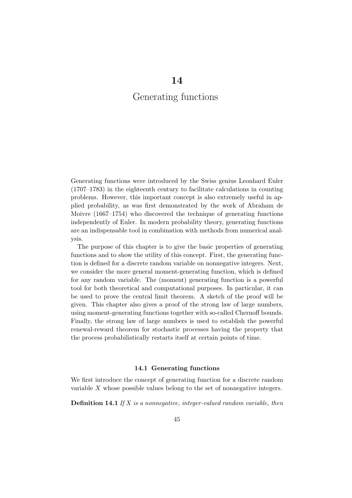## 14 Generating functions

Generating functions were introduced by the Swiss genius Leonhard Euler (1707–1783) in the eighteenth century to facilitate calculations in counting problems. However, this important concept is also extremely useful in applied probability, as was first demonstrated by the work of Abraham de Moivre (1667–1754) who discovered the technique of generating functions independently of Euler. In modern probability theory, generating functions are an indispensable tool in combination with methods from numerical analysis.

The purpose of this chapter is to give the basic properties of generating functions and to show the utility of this concept. First, the generating function is defined for a discrete random variable on nonnegative integers. Next, we consider the more general moment-generating function, which is defined for any random variable. The (moment) generating function is a powerful tool for both theoretical and computational purposes. In particular, it can be used to prove the central limit theorem. A sketch of the proof will be given. This chapter also gives a proof of the strong law of large numbers, using moment-generating functions together with so-called Chernoff bounds. Finally, the strong law of large numbers is used to establish the powerful renewal-reward theorem for stochastic processes having the property that the process probabilistically restarts itself at certain points of time.

#### 14.1 Generating functions

We first introduce the concept of generating function for a discrete random variable X whose possible values belong to the set of nonnegative integers.

**Definition 14.1** If X is a nonnegative, integer-valued random variable, then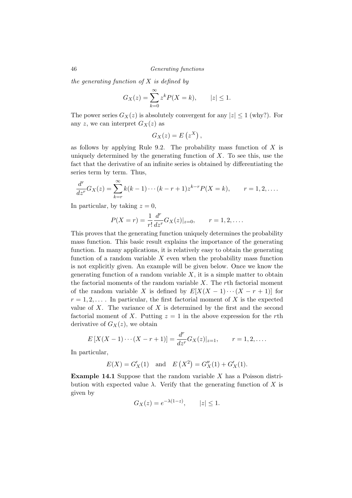46 Generating functions

the generating function of  $X$  is defined by

$$
G_X(z) = \sum_{k=0}^{\infty} z^k P(X = k),
$$
  $|z| \le 1.$ 

The power series  $G_X(z)$  is absolutely convergent for any  $|z| \leq 1$  (why?). For any z, we can interpret  $G_X(z)$  as

$$
G_X(z) = E(z^X),
$$

as follows by applying Rule 9.2. The probability mass function of  $X$  is uniquely determined by the generating function of  $X$ . To see this, use the fact that the derivative of an infinite series is obtained by differentiating the series term by term. Thus,

$$
\frac{d^{r}}{dz^{r}}G_{X}(z) = \sum_{k=r}^{\infty} k(k-1)\cdots(k-r+1)z^{k-r}P(X=k), \qquad r = 1, 2, \dots.
$$

In particular, by taking  $z = 0$ ,

$$
P(X = r) = \frac{1}{r!} \frac{d^r}{dz^r} G_X(z)|_{z=0}, \qquad r = 1, 2, \dots.
$$

This proves that the generating function uniquely determines the probability mass function. This basic result explains the importance of the generating function. In many applications, it is relatively easy to obtain the generating function of a random variable  $X$  even when the probability mass function is not explicitly given. An example will be given below. Once we know the generating function of a random variable  $X$ , it is a simple matter to obtain the factorial moments of the random variable  $X$ . The  $r$ th factorial moment of the random variable X is defined by  $E[X(X-1)\cdots(X-r+1)]$  for  $r = 1, 2, \ldots$ . In particular, the first factorial moment of X is the expected value of  $X$ . The variance of  $X$  is determined by the first and the second factorial moment of X. Putting  $z = 1$  in the above expression for the rth derivative of  $G_X(z)$ , we obtain

$$
E[X(X-1)\cdots(X-r+1)] = \frac{d^{r}}{dz^{r}}G_{X}(z)|_{z=1}, \qquad r=1,2,\ldots.
$$

In particular,

$$
E(X) = G'_X(1)
$$
 and  $E(X^2) = G''_X(1) + G'_X(1)$ .

**Example 14.1** Suppose that the random variable  $X$  has a Poisson distribution with expected value  $\lambda$ . Verify that the generating function of X is given by

$$
G_X(z) = e^{-\lambda(1-z)}, \qquad |z| \le 1.
$$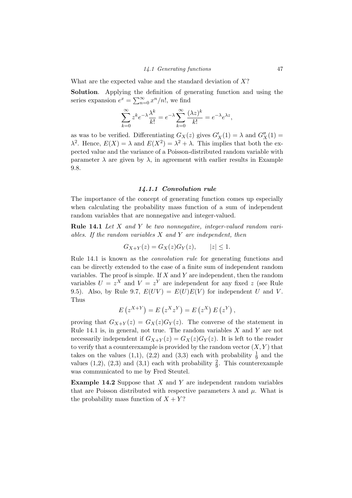What are the expected value and the standard deviation of X?

Solution. Applying the definition of generating function and using the series expansion  $e^x = \sum_{n=1}^{\infty}$  $\sum_{n=0}^{\infty} x^n/n!$ , we find

$$
\sum_{k=0}^{\infty} z^k e^{-\lambda} \frac{\lambda^k}{k!} = e^{-\lambda} \sum_{k=0}^{\infty} \frac{(\lambda z)^k}{k!} = e^{-\lambda} e^{\lambda z},
$$

as was to be verified. Differentiating  $G_X(z)$  gives  $G'_X(1) = \lambda$  and  $G''_X(1) =$  $\lambda^2$ . Hence,  $E(X) = \lambda$  and  $E(X^2) = \lambda^2 + \lambda$ . This implies that both the expected value and the variance of a Poisson-distributed random variable with parameter  $\lambda$  are given by  $\lambda$ , in agreement with earlier results in Example 9.8.

### 14.1.1 Convolution rule

The importance of the concept of generating function comes up especially when calculating the probability mass function of a sum of independent random variables that are nonnegative and integer-valued.

Rule 14.1 Let X and Y be two nonnegative, integer-valued random variables. If the random variables  $X$  and  $Y$  are independent, then

$$
G_{X+Y}(z) = G_X(z)G_Y(z), \qquad |z| \le 1.
$$

Rule 14.1 is known as the convolution rule for generating functions and can be directly extended to the case of a finite sum of independent random variables. The proof is simple. If  $X$  and  $Y$  are independent, then the random variables  $U = z^X$  and  $V = z^Y$  are independent for any fixed z (see Rule 9.5). Also, by Rule 9.7,  $E(UV) = E(U)E(V)$  for independent U and V. Thus

$$
E(z^{X+Y}) = E(z^X z^Y) = E(z^X) E(z^Y),
$$

proving that  $G_{X+Y}(z) = G_X(z)G_Y(z)$ . The converse of the statement in Rule 14.1 is, in general, not true. The random variables  $X$  and  $Y$  are not necessarily independent if  $G_{X+Y}(z) = G_X(z)G_Y(z)$ . It is left to the reader to verify that a counterexample is provided by the random vector  $(X, Y)$  that takes on the values (1,1), (2,2) and (3,3) each with probability  $\frac{1}{9}$  and the values (1,2), (2,3) and (3,1) each with probability  $\frac{2}{9}$ . This counterexample was communicated to me by Fred Steutel.

**Example 14.2** Suppose that  $X$  and  $Y$  are independent random variables that are Poisson distributed with respective parameters  $\lambda$  and  $\mu$ . What is the probability mass function of  $X + Y$ ?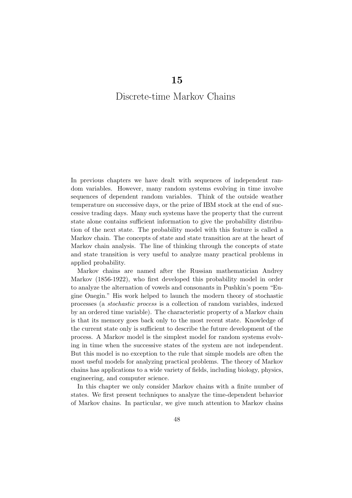## 15 Discrete-time Markov Chains

In previous chapters we have dealt with sequences of independent random variables. However, many random systems evolving in time involve sequences of dependent random variables. Think of the outside weather temperature on successive days, or the prize of IBM stock at the end of successive trading days. Many such systems have the property that the current state alone contains sufficient information to give the probability distribution of the next state. The probability model with this feature is called a Markov chain. The concepts of state and state transition are at the heart of Markov chain analysis. The line of thinking through the concepts of state and state transition is very useful to analyze many practical problems in applied probability.

Markov chains are named after the Russian mathematician Andrey Markov (1856-1922), who first developed this probability model in order to analyze the alternation of vowels and consonants in Pushkin's poem "Eugine Onegin." His work helped to launch the modern theory of stochastic processes (a stochastic process is a collection of random variables, indexed by an ordered time variable). The characteristic property of a Markov chain is that its memory goes back only to the most recent state. Knowledge of the current state only is sufficient to describe the future development of the process. A Markov model is the simplest model for random systems evolving in time when the successive states of the system are not independent. But this model is no exception to the rule that simple models are often the most useful models for analyzing practical problems. The theory of Markov chains has applications to a wide variety of fields, including biology, physics, engineering, and computer science.

In this chapter we only consider Markov chains with a finite number of states. We first present techniques to analyze the time-dependent behavior of Markov chains. In particular, we give much attention to Markov chains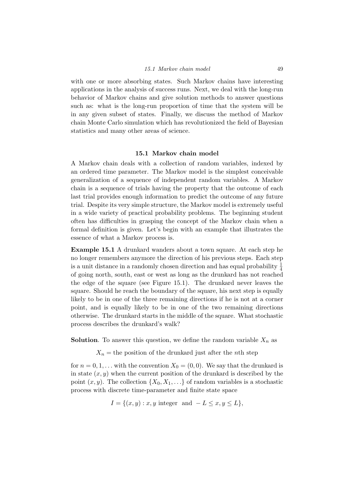### 15.1 Markov chain model 49

with one or more absorbing states. Such Markov chains have interesting applications in the analysis of success runs. Next, we deal with the long-run behavior of Markov chains and give solution methods to answer questions such as: what is the long-run proportion of time that the system will be in any given subset of states. Finally, we discuss the method of Markov chain Monte Carlo simulation which has revolutionized the field of Bayesian statistics and many other areas of science.

### 15.1 Markov chain model

A Markov chain deals with a collection of random variables, indexed by an ordered time parameter. The Markov model is the simplest conceivable generalization of a sequence of independent random variables. A Markov chain is a sequence of trials having the property that the outcome of each last trial provides enough information to predict the outcome of any future trial. Despite its very simple structure, the Markov model is extremely useful in a wide variety of practical probability problems. The beginning student often has difficulties in grasping the concept of the Markov chain when a formal definition is given. Let's begin with an example that illustrates the essence of what a Markov process is.

Example 15.1 A drunkard wanders about a town square. At each step he no longer remembers anymore the direction of his previous steps. Each step is a unit distance in a randomly chosen direction and has equal probability  $\frac{1}{4}$ of going north, south, east or west as long as the drunkard has not reached the edge of the square (see Figure 15.1). The drunkard never leaves the square. Should he reach the boundary of the square, his next step is equally likely to be in one of the three remaining directions if he is not at a corner point, and is equally likely to be in one of the two remaining directions otherwise. The drunkard starts in the middle of the square. What stochastic process describes the drunkard's walk?

**Solution**. To answer this question, we define the random variable  $X_n$  as

 $X_n$  = the position of the drunkard just after the *n*th step

for  $n = 0, 1, \ldots$  with the convention  $X_0 = (0, 0)$ . We say that the drunkard is in state  $(x, y)$  when the current position of the drunkard is described by the point  $(x, y)$ . The collection  $\{X_0, X_1, \ldots\}$  of random variables is a stochastic process with discrete time-parameter and finite state space

$$
I = \{(x, y) : x, y \text{ integer and } -L \le x, y \le L\},\
$$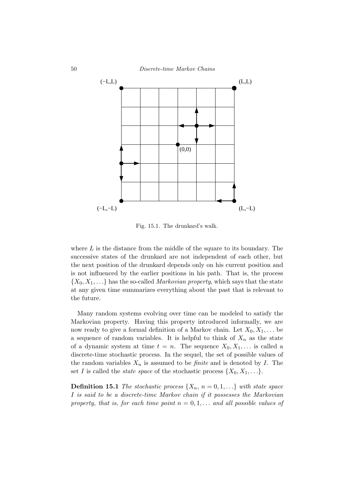

Fig. 15.1. The drunkard's walk.

where  $L$  is the distance from the middle of the square to its boundary. The successive states of the drunkard are not independent of each other, but the next position of the drunkard depends only on his current position and is not influenced by the earlier positions in his path. That is, the process  ${X_0, X_1, \ldots}$  has the so-called *Markovian property*, which says that the state at any given time summarizes everything about the past that is relevant to the future.

Many random systems evolving over time can be modeled to satisfy the Markovian property. Having this property introduced informally, we are now ready to give a formal definition of a Markov chain. Let  $X_0, X_1, \ldots$  be a sequence of random variables. It is helpful to think of  $X_n$  as the state of a dynamic system at time  $t = n$ . The sequence  $X_0, X_1, \ldots$  is called a discrete-time stochastic process. In the sequel, the set of possible values of the random variables  $X_n$  is assumed to be *finite* and is denoted by I. The set I is called the *state space* of the stochastic process  $\{X_0, X_1, \ldots\}$ .

**Definition 15.1** The stochastic process  $\{X_n, n = 0, 1, ...\}$  with state space I is said to be a discrete-time Markov chain if it possesses the Markovian property, that is, for each time point  $n = 0, 1, \ldots$  and all possible values of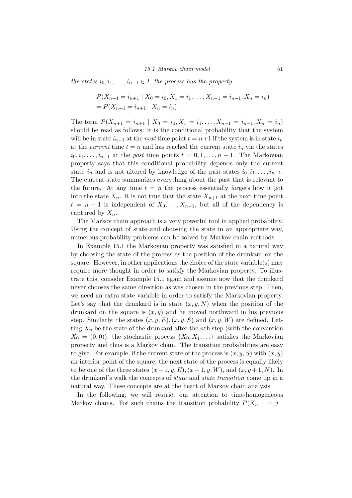### 15.1 Markov chain model 51

the states  $i_0, i_1, \ldots, i_{n+1} \in I$ , the process has the property

$$
P(X_{n+1} = i_{n+1} | X_0 = i_0, X_1 = i_1, \dots, X_{n-1} = i_{n-1}, X_n = i_n)
$$
  
=  $P(X_{n+1} = i_{n+1} | X_n = i_n).$ 

The term  $P(X_{n+1} = i_{n+1} | X_0 = i_0, X_1 = i_1, \ldots, X_{n-1} = i_{n-1}, X_n = i_n)$ should be read as follows: it is the conditional probability that the system will be in state  $i_{n+1}$  at the next time point  $t = n+1$  if the system is in state  $i_n$ at the *current* time  $t = n$  and has reached the current state  $i_n$  via the states  $i_0, i_1, \ldots, i_{n-1}$  at the past time points  $t = 0, 1, \ldots, n-1$ . The Markovian property says that this conditional probability depends only the current state  $i_n$  and is not altered by knowledge of the past states  $i_0, i_1, \ldots, i_{n-1}$ . The current state summarizes everything about the past that is relevant to the future. At any time  $t = n$  the process essentially forgets how it got into the state  $X_n$ . It is not true that the state  $X_{n+1}$  at the next time point  $t = n + 1$  is independent of  $X_0, \ldots, X_{n-1}$ , but all of the dependency is captured by  $X_n$ .

The Markov chain approach is a very powerful tool in applied probability. Using the concept of state and choosing the state in an appropriate way, numerous probability problems can be solved by Markov chain methods.

In Example 15.1 the Markovian property was satisfied in a natural way by choosing the state of the process as the position of the drunkard on the square. However, in other applications the choice of the state variable(s) may require more thought in order to satisfy the Markovian property. To illustrate this, consider Example 15.1 again and assume now that the drunkard never chooses the same direction as was chosen in the previous step. Then, we need an extra state variable in order to satisfy the Markovian property. Let's say that the drunkard is in state  $(x, y, N)$  when the position of the drunkard on the square is  $(x, y)$  and he moved northward in his previous step. Similarly, the states  $(x, y, E), (x, y, S)$  and  $(x, y, W)$  are defined. Letting  $X_n$  be the state of the drunkard after the nth step (with the convention  $X_0 = (0, 0)$ , the stochastic process  $\{X_0, X_1, \ldots\}$  satisfies the Markovian property and thus is a Markov chain. The transition probabilities are easy to give. For example, if the current state of the process is  $(x, y, S)$  with  $(x, y)$ an interior point of the square, the next state of the process is equally likely to be one of the three states  $(x+1, y, E), (x-1, y, W)$ , and  $(x, y+1, N)$ . In the drunkard's walk the concepts of state and state transition come up in a natural way. These concepts are at the heart of Markov chain analysis.

In the following, we will restrict our attention to time-homogeneous Markov chains. For such chains the transition probability  $P(X_{n+1} = j)$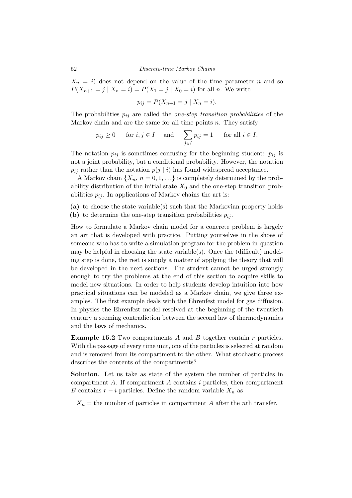$X_n = i$  does not depend on the value of the time parameter n and so  $P(X_{n+1} = j | X_n = i) = P(X_1 = j | X_0 = i)$  for all n. We write

$$
p_{ij} = P(X_{n+1} = j \mid X_n = i).
$$

The probabilities  $p_{ij}$  are called the *one-step transition probabilities* of the Markov chain and are the same for all time points  $n$ . They satisfy

$$
p_{ij} \ge 0
$$
 for  $i, j \in I$  and  $\sum_{j \in I} p_{ij} = 1$  for all  $i \in I$ .

The notation  $p_{ij}$  is sometimes confusing for the beginning student:  $p_{ij}$  is not a joint probability, but a conditional probability. However, the notation  $p_{ij}$  rather than the notation  $p(j | i)$  has found widespread acceptance.

A Markov chain  $\{X_n, n = 0, 1, \ldots\}$  is completely determined by the probability distribution of the initial state  $X_0$  and the one-step transition probabilities  $p_{ij}$ . In applications of Markov chains the art is:

(a) to choose the state variable(s) such that the Markovian property holds (b) to determine the one-step transition probabilities  $p_{ij}$ .

How to formulate a Markov chain model for a concrete problem is largely an art that is developed with practice. Putting yourselves in the shoes of someone who has to write a simulation program for the problem in question may be helpful in choosing the state variable(s). Once the (difficult) modeling step is done, the rest is simply a matter of applying the theory that will be developed in the next sections. The student cannot be urged strongly enough to try the problems at the end of this section to acquire skills to model new situations. In order to help students develop intuition into how practical situations can be modeled as a Markov chain, we give three examples. The first example deals with the Ehrenfest model for gas diffusion. In physics the Ehrenfest model resolved at the beginning of the twentieth century a seeming contradiction between the second law of thermodynamics and the laws of mechanics.

Example 15.2 Two compartments A and B together contain r particles. With the passage of every time unit, one of the particles is selected at random and is removed from its compartment to the other. What stochastic process describes the contents of the compartments?

Solution. Let us take as state of the system the number of particles in compartment  $A$ . If compartment  $A$  contains  $i$  particles, then compartment B contains  $r - i$  particles. Define the random variable  $X_n$  as

 $X_n =$  the number of particles in compartment A after the nth transfer.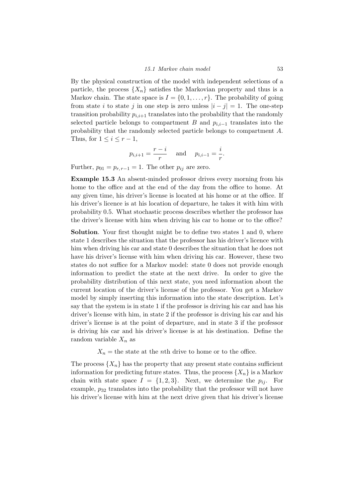By the physical construction of the model with independent selections of a particle, the process  $\{X_n\}$  satisfies the Markovian property and thus is a Markov chain. The state space is  $I = \{0, 1, \ldots, r\}$ . The probability of going from state i to state j in one step is zero unless  $|i - j| = 1$ . The one-step transition probability  $p_{i,i+1}$  translates into the probability that the randomly selected particle belongs to compartment B and  $p_{i,i-1}$  translates into the probability that the randomly selected particle belongs to compartment A. Thus, for  $1 \leq i \leq r-1$ ,

$$
p_{i,i+1} = \frac{r-i}{r}
$$
 and  $p_{i,i-1} = \frac{i}{r}$ .

Further,  $p_{01} = p_{r, r-1} = 1$ . The other  $p_{ij}$  are zero.

Example 15.3 An absent-minded professor drives every morning from his home to the office and at the end of the day from the office to home. At any given time, his driver's license is located at his home or at the office. If his driver's licence is at his location of departure, he takes it with him with probability 0.5. What stochastic process describes whether the professor has the driver's license with him when driving his car to home or to the office?

Solution. Your first thought might be to define two states 1 and 0, where state 1 describes the situation that the professor has his driver's licence with him when driving his car and state 0 describes the situation that he does not have his driver's license with him when driving his car. However, these two states do not suffice for a Markov model: state 0 does not provide enough information to predict the state at the next drive. In order to give the probability distribution of this next state, you need information about the current location of the driver's license of the professor. You get a Markov model by simply inserting this information into the state description. Let's say that the system is in state 1 if the professor is driving his car and has his driver's license with him, in state 2 if the professor is driving his car and his driver's license is at the point of departure, and in state 3 if the professor is driving his car and his driver's license is at his destination. Define the random variable  $X_n$  as

 $X_n =$  the state at the *n*th drive to home or to the office.

The process  $\{X_n\}$  has the property that any present state contains sufficient information for predicting future states. Thus, the process  $\{X_n\}$  is a Markov chain with state space  $I = \{1, 2, 3\}$ . Next, we determine the  $p_{ij}$ . For example,  $p_{32}$  translates into the probability that the professor will not have his driver's license with him at the next drive given that his driver's license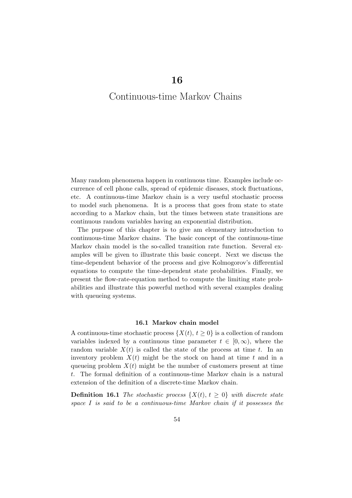### 16

### Continuous-time Markov Chains

Many random phenomena happen in continuous time. Examples include occurrence of cell phone calls, spread of epidemic diseases, stock fluctuations, etc. A continuous-time Markov chain is a very useful stochastic process to model such phenomena. It is a process that goes from state to state according to a Markov chain, but the times between state transitions are continuous random variables having an exponential distribution.

The purpose of this chapter is to give am elementary introduction to continuous-time Markov chains. The basic concept of the continuous-time Markov chain model is the so-called transition rate function. Several examples will be given to illustrate this basic concept. Next we discuss the time-dependent behavior of the process and give Kolmogorov's differential equations to compute the time-dependent state probabilities. Finally, we present the flow-rate-equation method to compute the limiting state probabilities and illustrate this powerful method with several examples dealing with queueing systems.

### 16.1 Markov chain model

A continuous-time stochastic process  $\{X(t), t \geq 0\}$  is a collection of random variables indexed by a continuous time parameter  $t \in [0,\infty)$ , where the random variable  $X(t)$  is called the state of the process at time t. In an inventory problem  $X(t)$  might be the stock on hand at time t and in a queueing problem  $X(t)$  might be the number of customers present at time t. The formal definition of a continuous-time Markov chain is a natural extension of the definition of a discrete-time Markov chain.

**Definition 16.1** The stochastic process  $\{X(t), t \geq 0\}$  with discrete state space I is said to be a continuous-time Markov chain if it possesses the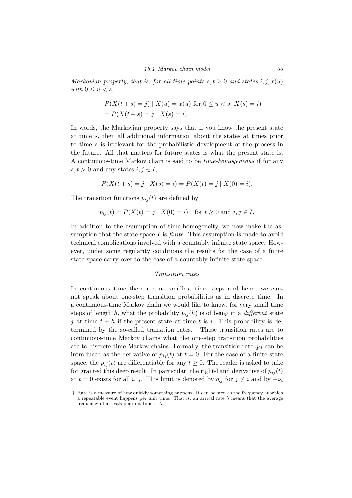Markovian property, that is, for all time points  $s, t \geq 0$  and states  $i, j, x(u)$ with  $0 \leq u < s$ ,

$$
P(X(t + s) = j) | X(u) = x(u) \text{ for } 0 \le u < s, X(s) = i)
$$
  
= 
$$
P(X(t + s) = j | X(s) = i).
$$

In words, the Markovian property says that if you know the present state at time s, then all additional information about the states at times prior to time s is irrelevant for the probabilistic development of the process in the future. All that matters for future states is what the present state is. A continuous-time Markov chain is said to be time-homogeneous if for any  $s, t > 0$  and any states  $i, j \in I$ ,

$$
P(X(t + s) = j \mid X(s) = i) = P(X(t) = j \mid X(0) = i).
$$

The transition functions  $p_{ij}(t)$  are defined by

$$
p_{ij}(t) = P(X(t) = j | X(0) = i)
$$
 for  $t \ge 0$  and  $i, j \in I$ .

In addition to the assumption of time-homogeneity, we now make the assumption that the state space  $I$  is *finite*. This assumption is made to avoid technical complications involved with a countably infinite state space. However, under some regularity conditions the results for the case of a finite state space carry over to the case of a countably infinite state space.

### Transition rates

In continuous time there are no smallest time steps and hence we cannot speak about one-step transition probabilities as in discrete time. In a continuous-time Markov chain we would like to know, for very small time steps of length h, what the probability  $p_{ij}(h)$  is of being in a *different* state j at time  $t + h$  if the present state at time t is i. This probability is determined by the so-called transition rates.† These transition rates are to continuous-time Markov chains what the one-step transition probabilities are to discrete-time Markov chains. Formally, the transition rate  $q_{ij}$  can be introduced as the derivative of  $p_{ij}(t)$  at  $t = 0$ . For the case of a finite state space, the  $p_{ij}(t)$  are differentiable for any  $t \geq 0$ . The reader is asked to take for granted this deep result. In particular, the right-hand derivative of  $p_{ij}(t)$ at  $t = 0$  exists for all i, j. This limit is denoted by  $q_{ij}$  for  $j \neq i$  and by  $-\nu_i$ 

<sup>†</sup> Rate is a measure of how quickly something happens. It can be seen as the frequency at which a repeatable event happens per unit time. That is, an arrival rate  $\lambda$  means that the average frequency of arrivals per unit time is  $\lambda$ .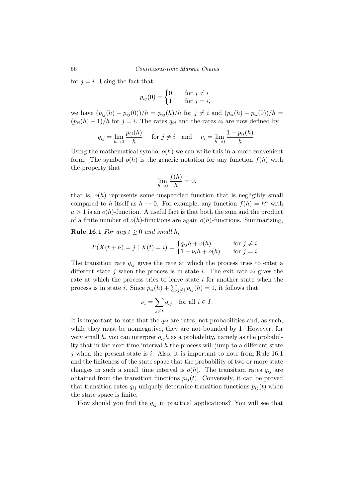for  $j = i$ . Using the fact that

$$
p_{ij}(0) = \begin{cases} 0 & \text{for } j \neq i \\ 1 & \text{for } j = i, \end{cases}
$$

we have  $(p_{ij}(h) - p_{ij}(0))/h = p_{ij}(h)/h$  for  $j \neq i$  and  $(p_{ii}(h) - p_{ii}(0))/h =$  $(p_{ii}(h) - 1)/h$  for  $j = i$ . The rates  $q_{ij}$  and the rates  $\nu_i$  are now defined by

$$
q_{ij} = \lim_{h \to 0} \frac{p_{ij}(h)}{h} \quad \text{ for } j \neq i \quad \text{and} \quad \nu_i = \lim_{h \to 0} \frac{1 - p_{ii}(h)}{h}.
$$

Using the mathematical symbol  $o(h)$  we can write this in a more convenient form. The symbol  $o(h)$  is the generic notation for any function  $f(h)$  with the property that

$$
\lim_{h \to 0} \frac{f(h)}{h} = 0,
$$

that is,  $o(h)$  represents some unspecified function that is negligibly small compared to h itself as  $h \to 0$ . For example, any function  $f(h) = h^a$  with  $a > 1$  is an  $o(h)$ -function. A useful fact is that both the sum and the product of a finite number of  $o(h)$ -functions are again  $o(h)$ -functions. Summarizing,

Rule 16.1 For any  $t \geq 0$  and small h,

$$
P(X(t+h) = j \mid X(t) = i) = \begin{cases} q_{ij}h + o(h) & \text{for } j \neq i \\ 1 - \nu_i h + o(h) & \text{for } j = i. \end{cases}
$$

The transition rate  $q_{ij}$  gives the rate at which the process tries to enter a different state j when the process is in state i. The exit rate  $\nu_i$  gives the rate at which the process tries to leave state  $i$  for another state when the process is in state *i*. Since  $p_{ii}(h) + \sum_{j \neq i} p_{ij}(h) = 1$ , it follows that

$$
\nu_i = \sum_{j \neq i} q_{ij} \quad \text{for all } i \in I.
$$

It is important to note that the  $q_{ij}$  are rates, not probabilities and, as such, while they must be nonnegative, they are not bounded by 1. However, for very small  $h$ , you can interpret  $q_{ij}h$  as a probability, namely as the probability that in the next time interval  $h$  the process will jump to a different state  $j$  when the present state is  $i$ . Also, it is important to note from Rule 16.1 and the finiteness of the state space that the probability of two or more state changes in such a small time interval is  $o(h)$ . The transition rates  $q_{ij}$  are obtained from the transition functions  $p_{ij}(t)$ . Conversely, it can be proved that transition rates  $q_{ij}$  uniquely determine transition functions  $p_{ij}(t)$  when the state space is finite.

How should you find the  $q_{ij}$  in practical applications? You will see that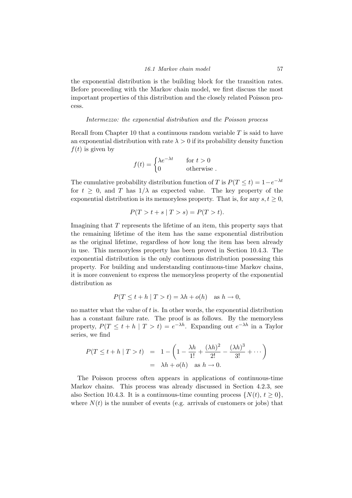the exponential distribution is the building block for the transition rates. Before proceeding with the Markov chain model, we first discuss the most important properties of this distribution and the closely related Poisson process.

### Intermezzo: the exponential distribution and the Poisson process

Recall from Chapter 10 that a continuous random variable  $T$  is said to have an exponential distribution with rate  $\lambda > 0$  if its probability density function  $f(t)$  is given by

$$
f(t) = \begin{cases} \lambda e^{-\lambda t} & \text{for } t > 0\\ 0 & \text{otherwise} \end{cases}
$$

The cumulative probability distribution function of T is  $P(T \le t) = 1 - e^{-\lambda t}$ for  $t \geq 0$ , and T has  $1/\lambda$  as expected value. The key property of the exponential distribution is its memoryless property. That is, for any  $s, t \geq 0$ ,

$$
P(T > t + s | T > s) = P(T > t).
$$

Imagining that T represents the lifetime of an item, this property says that the remaining lifetime of the item has the same exponential distribution as the original lifetime, regardless of how long the item has been already in use. This memoryless property has been proved in Section 10.4.3. The exponential distribution is the only continuous distribution possessing this property. For building and understanding continuous-time Markov chains, it is more convenient to express the memoryless property of the exponential distribution as

$$
P(T \le t + h \mid T > t) = \lambda h + o(h) \quad \text{as } h \to 0,
$$

no matter what the value of  $t$  is. In other words, the exponential distribution has a constant failure rate. The proof is as follows. By the memoryless property,  $P(T \leq t + h \mid T > t) = e^{-\lambda h}$ . Expanding out  $e^{-\lambda h}$  in a Taylor series, we find

$$
P(T \le t + h \mid T > t) = 1 - \left(1 - \frac{\lambda h}{1!} + \frac{(\lambda h)^2}{2!} - \frac{(\lambda h)^3}{3!} + \cdots \right)
$$
  
=  $\lambda h + o(h)$  as  $h \to 0$ .

The Poisson process often appears in applications of continuous-time Markov chains. This process was already discussed in Section 4.2.3, see also Section 10.4.3. It is a continuous-time counting process  $\{N(t), t \geq 0\}$ , where  $N(t)$  is the number of events (e.g. arrivals of customers or jobs) that